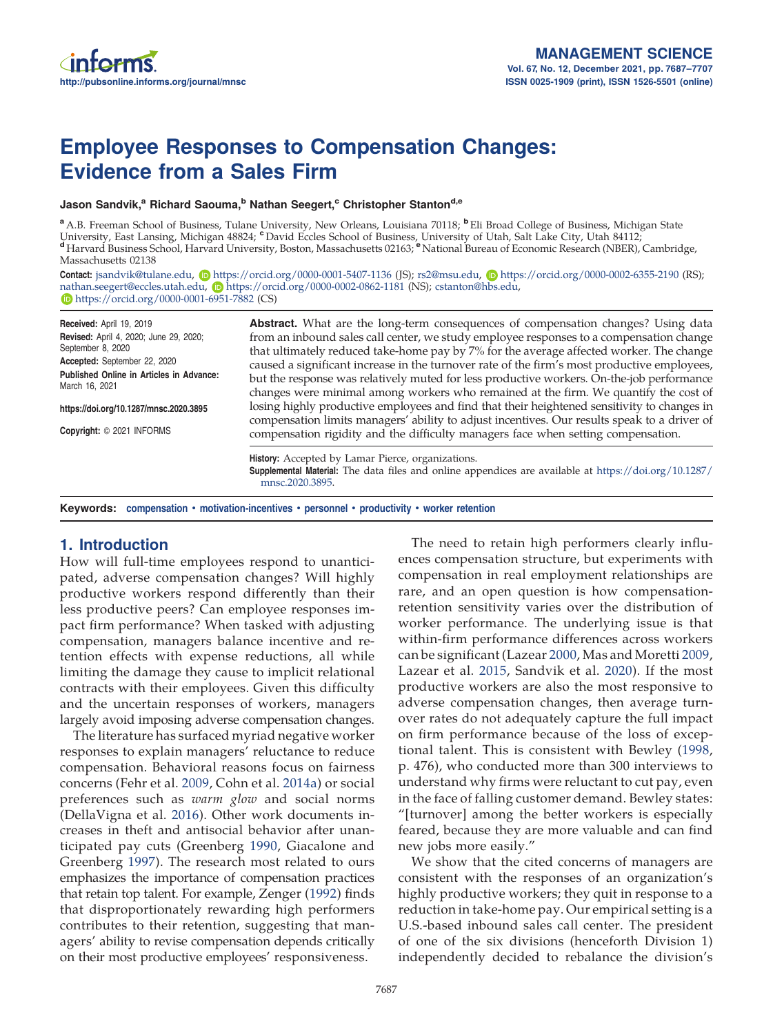# Employee Responses to Compensation Changes: Evidence from a Sales Firm

Jason Sandvik,<sup>a</sup> Richard Saouma,<sup>b</sup> Nathan Seegert,<sup>c</sup> Christopher Stanton<sup>d,e</sup>

<sup>a</sup> A.B. Freeman School of Business, Tulane University, New Orleans, Louisiana 70118; **b** Eli Broad College of Business, Michigan State University, East Lansing, Michigan 48824; CDavid Eccles School of Business, University of Utah, Salt Lake City, Utah 84112; <sup>d</sup> Harvard Business School, Harvard University, Boston, Massachusetts 02163; <sup>e</sup> National Bureau of Economic Research (NBER), Cambridge, Massachusetts 02138

Contact: jsandvik@tulane.edu, n https://orcid.org/0000-0001-5407-1136 (JS); rs2@msu.edu, n https://orcid.org/0000-0002-6355-2190 (RS); nathan.seegert@eccles.utah.edu, **b**https://orcid.org/0000-0002-0862-1181 (NS); cstanton@hbs.edu, https://orcid.org/0000-0001-6951-7882 (CS)

Received: April 19, 2019 Revised: April 4, 2020; June 29, 2020; September 8, 2020 Accepted: September 22, 2020 Published Online in Articles in Advance: March 16, 2021 https://doi.org/10.1287/mnsc.2020.3895 Copyright: © 2021 INFORMS Abstract. What are the long-term consequences of compensation changes? Using data from an inbound sales call center, we study employee responses to a compensation change that ultimately reduced take-home pay by 7% for the average affected worker. The change caused a significant increase in the turnover rate of the firm's most productive employees, but the response was relatively muted for less productive workers. On-the-job performance changes were minimal among workers who remained at the firm. We quantify the cost of losing highly productive employees and find that their heightened sensitivity to changes in compensation limits managers' ability to adjust incentives. Our results speak to a driver of compensation rigidity and the difficulty managers face when setting compensation. History: Accepted by Lamar Pierce, organizations. Supplemental Material: The data files and online appendices are available at https://doi.org/10.1287/ mnsc.2020.3895.

Keywords: compensation • motivation-incentives • personnel • productivity • worker retention

# 1. Introduction

How will full-time employees respond to unanticipated, adverse compensation changes? Will highly productive workers respond differently than their less productive peers? Can employee responses impact firm performance? When tasked with adjusting compensation, managers balance incentive and retention effects with expense reductions, all while limiting the damage they cause to implicit relational contracts with their employees. Given this difficulty and the uncertain responses of workers, managers largely avoid imposing adverse compensation changes.

The literature has surfaced myriad negative worker responses to explain managers' reluctance to reduce compensation. Behavioral reasons focus on fairness concerns (Fehr et al. 2009, Cohn et al. 2014a) or social preferences such as *warm glow* and social norms (DellaVigna et al. 2016). Other work documents increases in theft and antisocial behavior after unanticipated pay cuts (Greenberg 1990, Giacalone and Greenberg 1997). The research most related to ours emphasizes the importance of compensation practices that retain top talent. For example, Zenger (1992) finds that disproportionately rewarding high performers contributes to their retention, suggesting that managers' ability to revise compensation depends critically on their most productive employees' responsiveness.

The need to retain high performers clearly influences compensation structure, but experiments with compensation in real employment relationships are rare, and an open question is how compensationretention sensitivity varies over the distribution of worker performance. The underlying issue is that within-firm performance differences across workers can be significant (Lazear 2000, Mas and Moretti 2009, Lazear et al. 2015, Sandvik et al. 2020). If the most productive workers are also the most responsive to adverse compensation changes, then average turnover rates do not adequately capture the full impact on firm performance because of the loss of exceptional talent. This is consistent with Bewley (1998, p. 476), who conducted more than 300 interviews to understand why firms were reluctant to cut pay, even in the face of falling customer demand. Bewley states: "[turnover] among the better workers is especially feared, because they are more valuable and can find new jobs more easily."

We show that the cited concerns of managers are consistent with the responses of an organization's highly productive workers; they quit in response to a reduction in take-home pay. Our empirical setting is a U.S.-based inbound sales call center. The president of one of the six divisions (henceforth Division 1) independently decided to rebalance the division's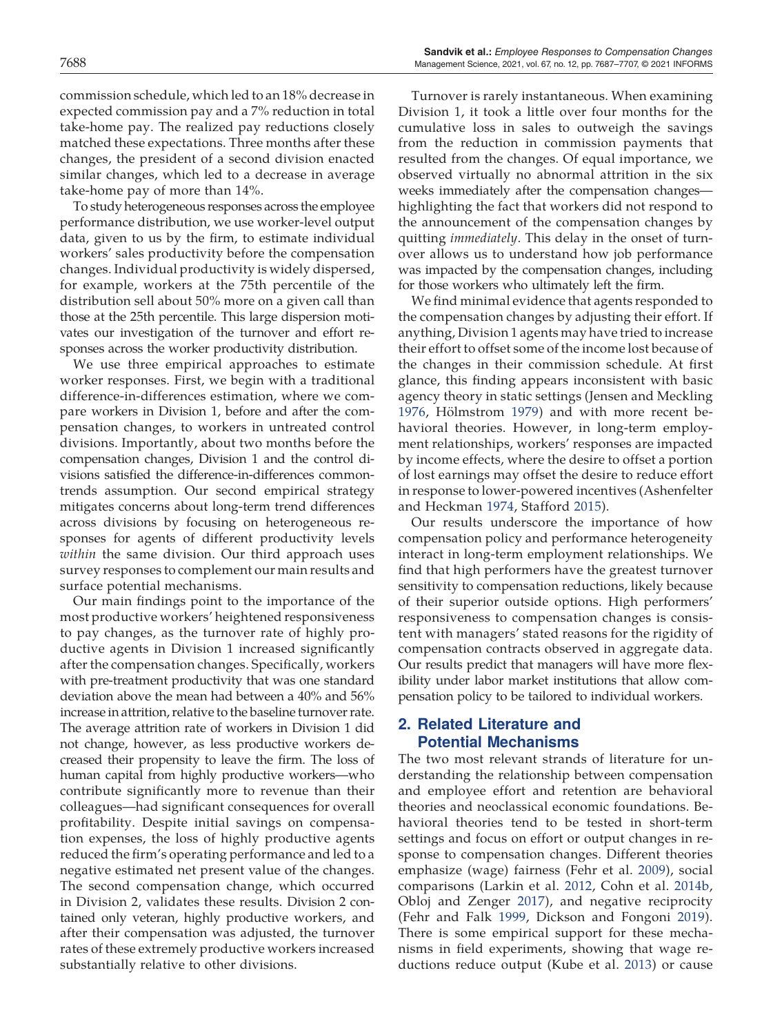commission schedule, which led to an 18% decrease in expected commission pay and a 7% reduction in total take-home pay. The realized pay reductions closely matched these expectations. Three months after these changes, the president of a second division enacted similar changes, which led to a decrease in average take-home pay of more than 14%.

To study heterogeneous responses across the employee performance distribution, we use worker-level output data, given to us by the firm, to estimate individual workers' sales productivity before the compensation changes. Individual productivity is widely dispersed, for example, workers at the 75th percentile of the distribution sell about 50% more on a given call than those at the 25th percentile. This large dispersion motivates our investigation of the turnover and effort responses across the worker productivity distribution.

We use three empirical approaches to estimate worker responses. First, we begin with a traditional difference-in-differences estimation, where we compare workers in Division 1, before and after the compensation changes, to workers in untreated control divisions. Importantly, about two months before the compensation changes, Division 1 and the control divisions satisfied the difference-in-differences commontrends assumption. Our second empirical strategy mitigates concerns about long-term trend differences across divisions by focusing on heterogeneous responses for agents of different productivity levels *within* the same division. Our third approach uses survey responses to complement our main results and surface potential mechanisms.

Our main findings point to the importance of the most productive workers' heightened responsiveness to pay changes, as the turnover rate of highly productive agents in Division 1 increased significantly after the compensation changes. Specifically, workers with pre-treatment productivity that was one standard deviation above the mean had between a 40% and 56% increase in attrition, relative to the baseline turnover rate. The average attrition rate of workers in Division 1 did not change, however, as less productive workers decreased their propensity to leave the firm. The loss of human capital from highly productive workers—who contribute significantly more to revenue than their colleagues—had significant consequences for overall profitability. Despite initial savings on compensation expenses, the loss of highly productive agents reduced the firm's operating performance and led to a negative estimated net present value of the changes. The second compensation change, which occurred in Division 2, validates these results. Division 2 contained only veteran, highly productive workers, and after their compensation was adjusted, the turnover rates of these extremely productive workers increased substantially relative to other divisions.

Turnover is rarely instantaneous. When examining Division 1, it took a little over four months for the cumulative loss in sales to outweigh the savings from the reduction in commission payments that resulted from the changes. Of equal importance, we observed virtually no abnormal attrition in the six weeks immediately after the compensation changes highlighting the fact that workers did not respond to the announcement of the compensation changes by quitting *immediately*. This delay in the onset of turnover allows us to understand how job performance was impacted by the compensation changes, including for those workers who ultimately left the firm.

We find minimal evidence that agents responded to the compensation changes by adjusting their effort. If anything, Division 1 agents may have tried to increase their effort to offset some of the income lost because of the changes in their commission schedule. At first glance, this finding appears inconsistent with basic agency theory in static settings (Jensen and Meckling 1976, Hölmstrom 1979) and with more recent behavioral theories. However, in long-term employment relationships, workers' responses are impacted by income effects, where the desire to offset a portion of lost earnings may offset the desire to reduce effort in response to lower-powered incentives (Ashenfelter and Heckman 1974, Stafford 2015).

Our results underscore the importance of how compensation policy and performance heterogeneity interact in long-term employment relationships. We find that high performers have the greatest turnover sensitivity to compensation reductions, likely because of their superior outside options. High performers' responsiveness to compensation changes is consistent with managers' stated reasons for the rigidity of compensation contracts observed in aggregate data. Our results predict that managers will have more flexibility under labor market institutions that allow compensation policy to be tailored to individual workers.

# 2. Related Literature and Potential Mechanisms

The two most relevant strands of literature for understanding the relationship between compensation and employee effort and retention are behavioral theories and neoclassical economic foundations. Behavioral theories tend to be tested in short-term settings and focus on effort or output changes in response to compensation changes. Different theories emphasize (wage) fairness (Fehr et al. 2009), social comparisons (Larkin et al. 2012, Cohn et al. 2014b, Obloj and Zenger 2017), and negative reciprocity (Fehr and Falk 1999, Dickson and Fongoni 2019). There is some empirical support for these mechanisms in field experiments, showing that wage reductions reduce output (Kube et al. 2013) or cause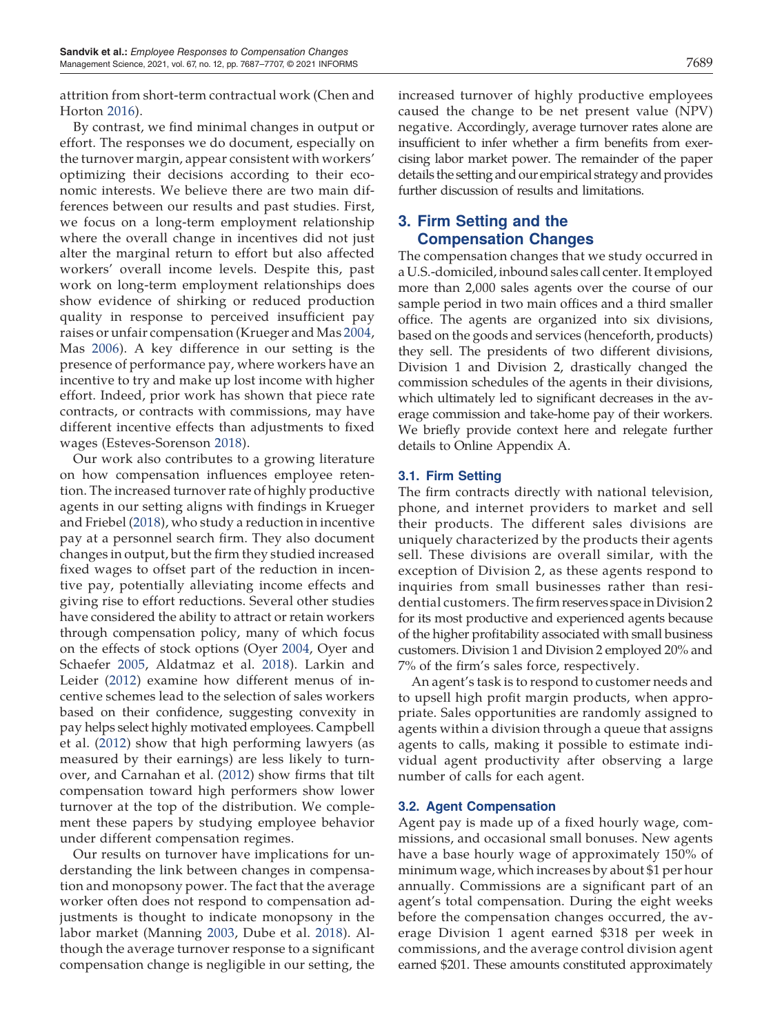attrition from short-term contractual work (Chen and Horton 2016).

By contrast, we find minimal changes in output or effort. The responses we do document, especially on the turnover margin, appear consistent with workers' optimizing their decisions according to their economic interests. We believe there are two main differences between our results and past studies. First, we focus on a long-term employment relationship where the overall change in incentives did not just alter the marginal return to effort but also affected workers' overall income levels. Despite this, past work on long-term employment relationships does show evidence of shirking or reduced production quality in response to perceived insufficient pay raises or unfair compensation (Krueger and Mas 2004, Mas 2006). A key difference in our setting is the presence of performance pay, where workers have an incentive to try and make up lost income with higher effort. Indeed, prior work has shown that piece rate contracts, or contracts with commissions, may have different incentive effects than adjustments to fixed wages (Esteves-Sorenson 2018).

Our work also contributes to a growing literature on how compensation influences employee retention. The increased turnover rate of highly productive agents in our setting aligns with findings in Krueger and Friebel (2018), who study a reduction in incentive pay at a personnel search firm. They also document changes in output, but the firm they studied increased fixed wages to offset part of the reduction in incentive pay, potentially alleviating income effects and giving rise to effort reductions. Several other studies have considered the ability to attract or retain workers through compensation policy, many of which focus on the effects of stock options (Oyer 2004, Oyer and Schaefer 2005, Aldatmaz et al. 2018). Larkin and Leider (2012) examine how different menus of incentive schemes lead to the selection of sales workers based on their confidence, suggesting convexity in pay helps select highly motivated employees. Campbell et al. (2012) show that high performing lawyers (as measured by their earnings) are less likely to turnover, and Carnahan et al. (2012) show firms that tilt compensation toward high performers show lower turnover at the top of the distribution. We complement these papers by studying employee behavior under different compensation regimes.

Our results on turnover have implications for understanding the link between changes in compensation and monopsony power. The fact that the average worker often does not respond to compensation adjustments is thought to indicate monopsony in the labor market (Manning 2003, Dube et al. 2018). Although the average turnover response to a significant compensation change is negligible in our setting, the increased turnover of highly productive employees caused the change to be net present value (NPV) negative. Accordingly, average turnover rates alone are insufficient to infer whether a firm benefits from exercising labor market power. The remainder of the paper details the setting and our empirical strategy and provides further discussion of results and limitations.

# 3. Firm Setting and the Compensation Changes

The compensation changes that we study occurred in a U.S.-domiciled, inbound sales call center. It employed more than 2,000 sales agents over the course of our sample period in two main offices and a third smaller office. The agents are organized into six divisions, based on the goods and services (henceforth, products) they sell. The presidents of two different divisions, Division 1 and Division 2, drastically changed the commission schedules of the agents in their divisions, which ultimately led to significant decreases in the average commission and take-home pay of their workers. We briefly provide context here and relegate further details to Online Appendix A.

# 3.1. Firm Setting

The firm contracts directly with national television, phone, and internet providers to market and sell their products. The different sales divisions are uniquely characterized by the products their agents sell. These divisions are overall similar, with the exception of Division 2, as these agents respond to inquiries from small businesses rather than residential customers. Thefirm reserves space in Division 2 for its most productive and experienced agents because of the higher profitability associated with small business customers. Division 1 and Division 2 employed 20% and 7% of the firm's sales force, respectively.

An agent's task is to respond to customer needs and to upsell high profit margin products, when appropriate. Sales opportunities are randomly assigned to agents within a division through a queue that assigns agents to calls, making it possible to estimate individual agent productivity after observing a large number of calls for each agent.

# 3.2. Agent Compensation

Agent pay is made up of a fixed hourly wage, commissions, and occasional small bonuses. New agents have a base hourly wage of approximately 150% of minimum wage, which increases by about \$1 per hour annually. Commissions are a significant part of an agent's total compensation. During the eight weeks before the compensation changes occurred, the average Division 1 agent earned \$318 per week in commissions, and the average control division agent earned \$201. These amounts constituted approximately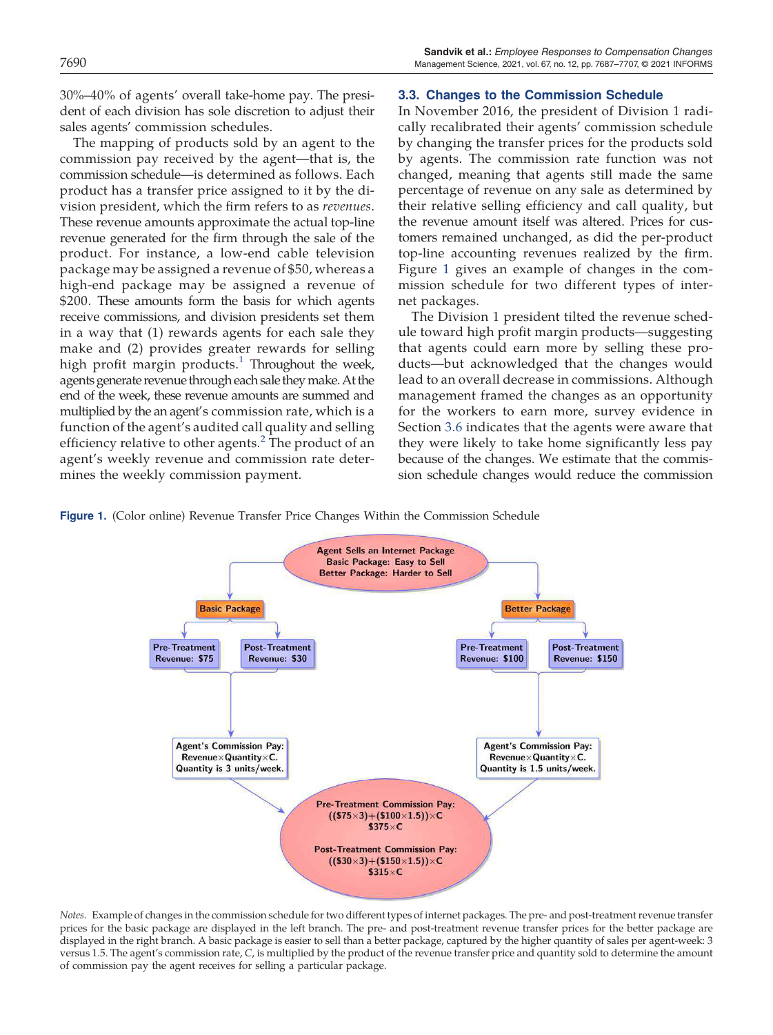30%–40% of agents' overall take-home pay. The president of each division has sole discretion to adjust their sales agents' commission schedules.

The mapping of products sold by an agent to the commission pay received by the agent—that is, the commission schedule—is determined as follows. Each product has a transfer price assigned to it by the division president, which the firm refers to as *revenues*. These revenue amounts approximate the actual top-line revenue generated for the firm through the sale of the product. For instance, a low-end cable television package may be assigned a revenue of \$50, whereas a high-end package may be assigned a revenue of \$200. These amounts form the basis for which agents receive commissions, and division presidents set them in a way that (1) rewards agents for each sale they make and (2) provides greater rewards for selling high profit margin products.<sup>1</sup> Throughout the week, agents generate revenue through each sale theymake.At the end of the week, these revenue amounts are summed and multiplied by the an agent's commission rate, which is a function of the agent's audited call quality and selling efficiency relative to other agents.<sup>2</sup> The product of an agent's weekly revenue and commission rate determines the weekly commission payment.

### 3.3. Changes to the Commission Schedule

In November 2016, the president of Division 1 radically recalibrated their agents' commission schedule by changing the transfer prices for the products sold by agents. The commission rate function was not changed, meaning that agents still made the same percentage of revenue on any sale as determined by their relative selling efficiency and call quality, but the revenue amount itself was altered. Prices for customers remained unchanged, as did the per-product top-line accounting revenues realized by the firm. Figure 1 gives an example of changes in the commission schedule for two different types of internet packages.

The Division 1 president tilted the revenue schedule toward high profit margin products—suggesting that agents could earn more by selling these products—but acknowledged that the changes would lead to an overall decrease in commissions. Although management framed the changes as an opportunity for the workers to earn more, survey evidence in Section 3.6 indicates that the agents were aware that they were likely to take home significantly less pay because of the changes. We estimate that the commission schedule changes would reduce the commission

Figure 1. (Color online) Revenue Transfer Price Changes Within the Commission Schedule



*Notes.* Example of changes in the commission schedule for two different types of internet packages. The pre- and post-treatment revenue transfer prices for the basic package are displayed in the left branch. The pre- and post-treatment revenue transfer prices for the better package are displayed in the right branch. A basic package is easier to sell than a better package, captured by the higher quantity of sales per agent-week: 3 versus 1.5. The agent's commission rate, *C*, is multiplied by the product of the revenue transfer price and quantity sold to determine the amount of commission pay the agent receives for selling a particular package.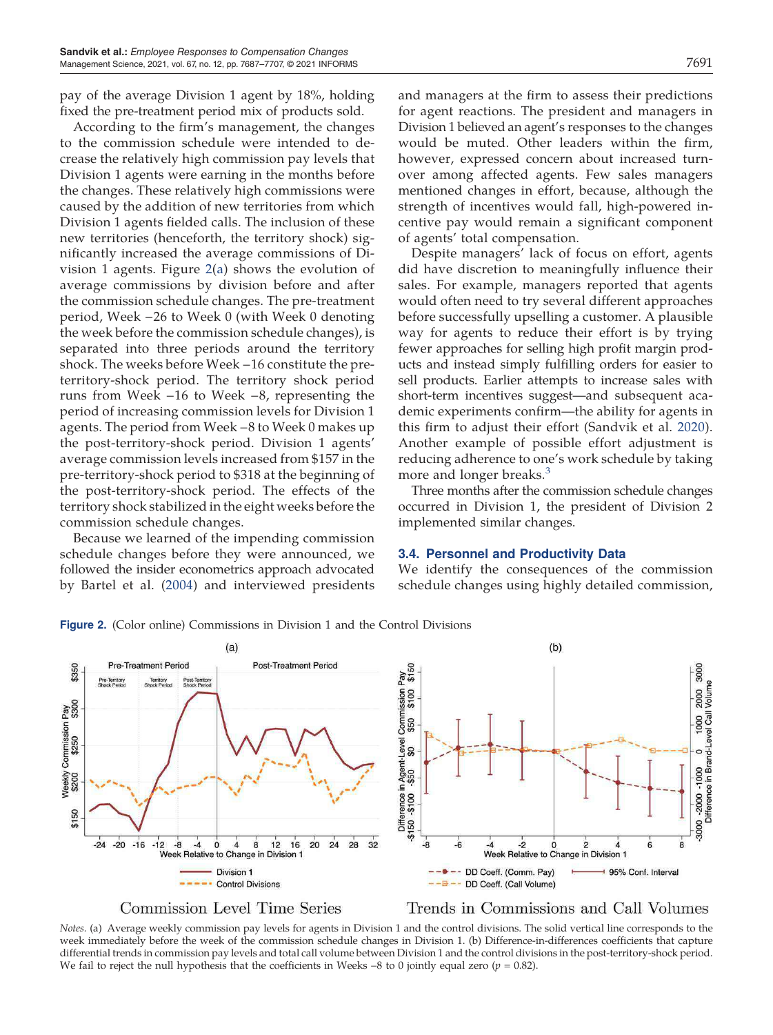pay of the average Division 1 agent by 18%, holding fixed the pre-treatment period mix of products sold.

According to the firm's management, the changes to the commission schedule were intended to decrease the relatively high commission pay levels that Division 1 agents were earning in the months before the changes. These relatively high commissions were caused by the addition of new territories from which Division 1 agents fielded calls. The inclusion of these new territories (henceforth, the territory shock) significantly increased the average commissions of Division 1 agents. Figure 2(a) shows the evolution of average commissions by division before and after the commission schedule changes. The pre-treatment period, Week −26 to Week 0 (with Week 0 denoting the week before the commission schedule changes), is separated into three periods around the territory shock. The weeks before Week −16 constitute the preterritory-shock period. The territory shock period runs from Week −16 to Week −8, representing the period of increasing commission levels for Division 1 agents. The period from Week −8 to Week 0 makes up the post-territory-shock period. Division 1 agents' average commission levels increased from \$157 in the pre-territory-shock period to \$318 at the beginning of the post-territory-shock period. The effects of the territory shock stabilized in the eight weeks before the commission schedule changes.

Because we learned of the impending commission schedule changes before they were announced, we followed the insider econometrics approach advocated by Bartel et al. (2004) and interviewed presidents and managers at the firm to assess their predictions for agent reactions. The president and managers in Division 1 believed an agent's responses to the changes would be muted. Other leaders within the firm, however, expressed concern about increased turnover among affected agents. Few sales managers mentioned changes in effort, because, although the strength of incentives would fall, high-powered incentive pay would remain a significant component of agents' total compensation.

Despite managers' lack of focus on effort, agents did have discretion to meaningfully influence their sales. For example, managers reported that agents would often need to try several different approaches before successfully upselling a customer. A plausible way for agents to reduce their effort is by trying fewer approaches for selling high profit margin products and instead simply fulfilling orders for easier to sell products. Earlier attempts to increase sales with short-term incentives suggest—and subsequent academic experiments confirm—the ability for agents in this firm to adjust their effort (Sandvik et al. 2020). Another example of possible effort adjustment is reducing adherence to one's work schedule by taking more and longer breaks.<sup>3</sup>

Three months after the commission schedule changes occurred in Division 1, the president of Division 2 implemented similar changes.

### 3.4. Personnel and Productivity Data

We identify the consequences of the commission schedule changes using highly detailed commission,





**Commission Level Time Series** 

Trends in Commissions and Call Volumes

*Notes.* (a) Average weekly commission pay levels for agents in Division 1 and the control divisions. The solid vertical line corresponds to the week immediately before the week of the commission schedule changes in Division 1. (b) Difference-in-differences coefficients that capture differential trends in commission pay levels and total call volume between Division 1 and the control divisions in the post-territory-shock period. We fail to reject the null hypothesis that the coefficients in Weeks −8 to 0 jointly equal zero (*p* = 0.82).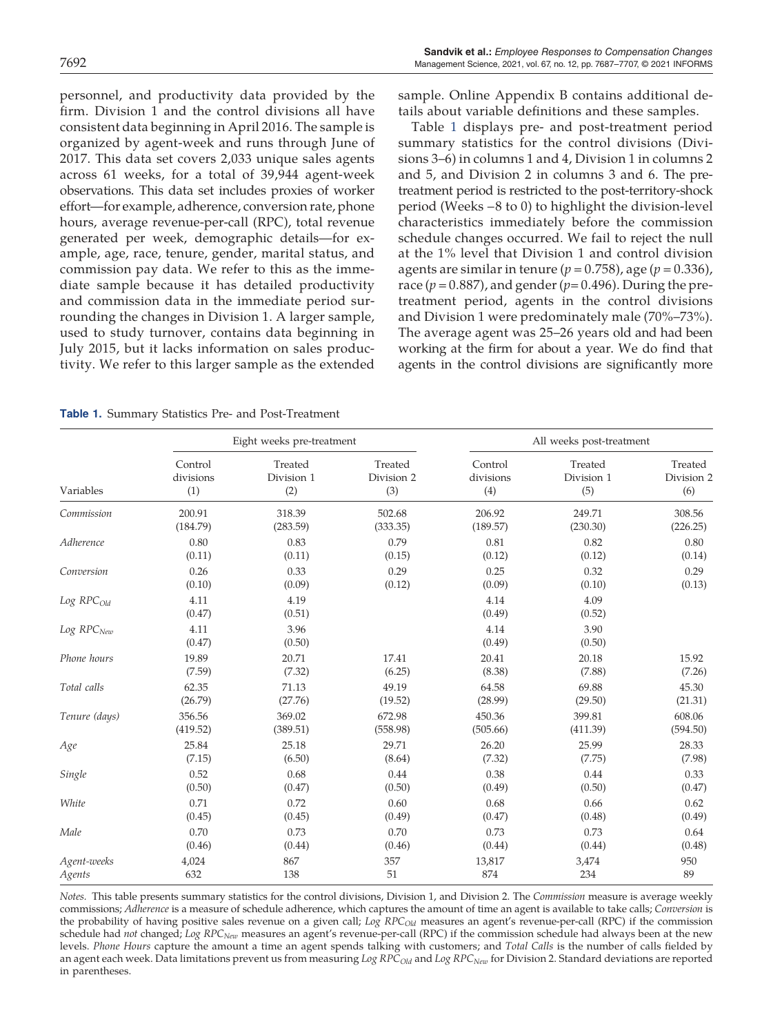personnel, and productivity data provided by the firm. Division 1 and the control divisions all have consistent data beginning in April 2016. The sample is organized by agent-week and runs through June of 2017. This data set covers 2,033 unique sales agents across 61 weeks, for a total of 39,944 agent-week observations. This data set includes proxies of worker effort—for example, adherence, conversion rate, phone hours, average revenue-per-call (RPC), total revenue generated per week, demographic details—for example, age, race, tenure, gender, marital status, and commission pay data. We refer to this as the immediate sample because it has detailed productivity and commission data in the immediate period surrounding the changes in Division 1. A larger sample, used to study turnover, contains data beginning in July 2015, but it lacks information on sales productivity. We refer to this larger sample as the extended sample. Online Appendix B contains additional details about variable definitions and these samples.

Table 1 displays pre- and post-treatment period summary statistics for the control divisions (Divisions 3–6) in columns 1 and 4, Division 1 in columns 2 and 5, and Division 2 in columns 3 and 6. The pretreatment period is restricted to the post-territory-shock period (Weeks −8 to 0) to highlight the division-level characteristics immediately before the commission schedule changes occurred. We fail to reject the null at the 1% level that Division 1 and control division agents are similar in tenure (*p* = 0.758), age (*p =* 0.336), race ( $p = 0.887$ ), and gender ( $p = 0.496$ ). During the pretreatment period, agents in the control divisions and Division 1 were predominately male (70%–73%). The average agent was 25–26 years old and had been working at the firm for about a year. We do find that agents in the control divisions are significantly more

Table 1. Summary Statistics Pre- and Post-Treatment

|                   |                | Eight weeks pre-treatment |            | All weeks post-treatment |                |            |  |
|-------------------|----------------|---------------------------|------------|--------------------------|----------------|------------|--|
| Variables         | Control        | Treated                   | Treated    | Control                  | Treated        | Treated    |  |
|                   | divisions      | Division 1                | Division 2 | divisions                | Division 1     | Division 2 |  |
|                   | (1)            | (2)                       | (3)        | (4)                      | (5)            | (6)        |  |
| Commission        | 200.91         | 318.39                    | 502.68     | 206.92                   | 249.71         | 308.56     |  |
|                   | (184.79)       | (283.59)                  | (333.35)   | (189.57)                 | (230.30)       | (226.25)   |  |
| Adherence         | 0.80           | 0.83                      | 0.79       | 0.81                     | 0.82           | 0.80       |  |
|                   | (0.11)         | (0.11)                    | (0.15)     | (0.12)                   | (0.12)         | (0.14)     |  |
| Conversion        | 0.26           | 0.33                      | 0.29       | 0.25                     | 0.32           | 0.29       |  |
|                   | (0.10)         | (0.09)                    | (0.12)     | (0.09)                   | (0.10)         | (0.13)     |  |
| $Log$ $RPC_{Old}$ | 4.11<br>(0.47) | 4.19<br>(0.51)            |            | 4.14<br>(0.49)           | 4.09<br>(0.52) |            |  |
| Log RPCNew        | 4.11<br>(0.47) | 3.96<br>(0.50)            |            | 4.14<br>(0.49)           | 3.90<br>(0.50) |            |  |
| Phone hours       | 19.89          | 20.71                     | 17.41      | 20.41                    | 20.18          | 15.92      |  |
|                   | (7.59)         | (7.32)                    | (6.25)     | (8.38)                   | (7.88)         | (7.26)     |  |
| Total calls       | 62.35          | 71.13                     | 49.19      | 64.58                    | 69.88          | 45.30      |  |
|                   | (26.79)        | (27.76)                   | (19.52)    | (28.99)                  | (29.50)        | (21.31)    |  |
| Tenure (days)     | 356.56         | 369.02                    | 672.98     | 450.36                   | 399.81         | 608.06     |  |
|                   | (419.52)       | (389.51)                  | (558.98)   | (505.66)                 | (411.39)       | (594.50)   |  |
| Age               | 25.84          | 25.18                     | 29.71      | 26.20                    | 25.99          | 28.33      |  |
|                   | (7.15)         | (6.50)                    | (8.64)     | (7.32)                   | (7.75)         | (7.98)     |  |
| Single            | 0.52           | 0.68                      | 0.44       | 0.38                     | 0.44           | 0.33       |  |
|                   | (0.50)         | (0.47)                    | (0.50)     | (0.49)                   | (0.50)         | (0.47)     |  |
| White             | 0.71           | 0.72                      | 0.60       | 0.68                     | 0.66           | 0.62       |  |
|                   | (0.45)         | (0.45)                    | (0.49)     | (0.47)                   | (0.48)         | (0.49)     |  |
| Male              | 0.70           | 0.73                      | 0.70       | 0.73                     | 0.73           | 0.64       |  |
|                   | (0.46)         | (0.44)                    | (0.46)     | (0.44)                   | (0.44)         | (0.48)     |  |
| Agent-weeks       | 4,024          | 867                       | 357        | 13,817                   | 3,474          | 950        |  |
| Agents            | 632            | 138                       | 51         | 874                      | 234            | 89         |  |

*Notes.* This table presents summary statistics for the control divisions, Division 1, and Division 2. The *Commission* measure is average weekly commissions; *Adherence* is a measure of schedule adherence, which captures the amount of time an agent is available to take calls; *Conversion* is the probability of having positive sales revenue on a given call; *Log RPCOld* measures an agent's revenue-per-call (RPC) if the commission schedule had *not* changed; *Log RPCNew* measures an agent's revenue-per-call (RPC) if the commission schedule had always been at the new levels. *Phone Hours* capture the amount a time an agent spends talking with customers; and *Total Calls* is the number of calls fielded by an agent each week. Data limitations prevent us from measuring *Log RPCOld* and *Log RPCNew* for Division 2. Standard deviations are reported in parentheses.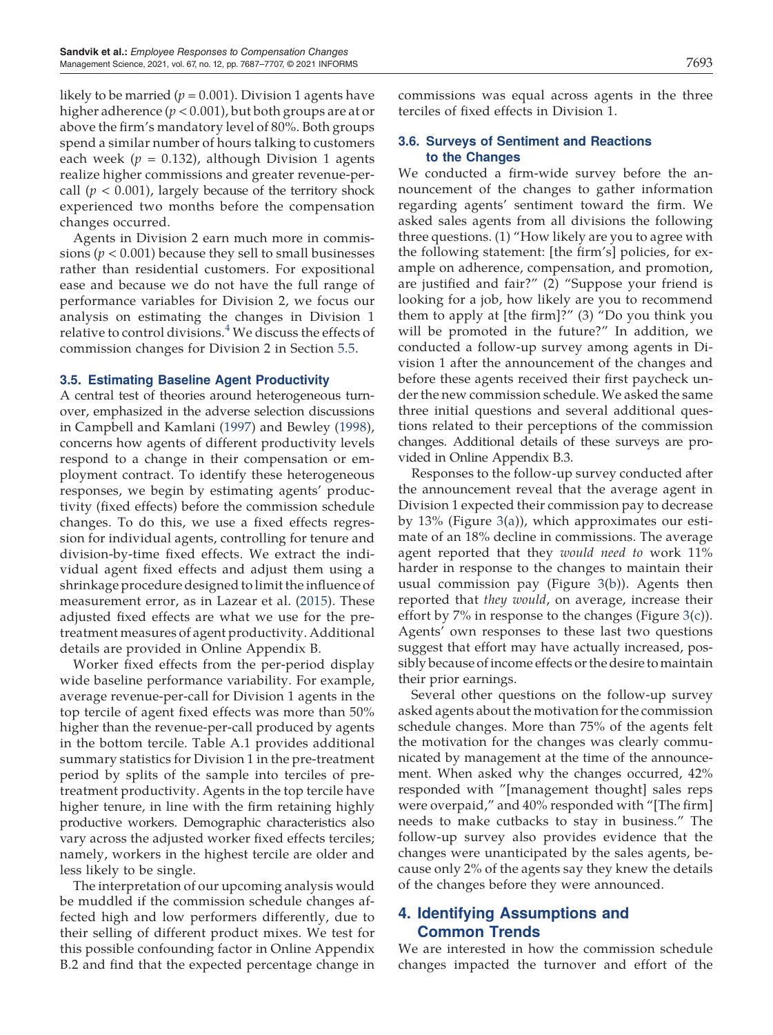likely to be married ( $p = 0.001$ ). Division 1 agents have higher adherence (*p* < 0.001), but both groups are at or above the firm's mandatory level of 80%. Both groups spend a similar number of hours talking to customers each week (*p =* 0.132), although Division 1 agents realize higher commissions and greater revenue-percall  $(p < 0.001)$ , largely because of the territory shock experienced two months before the compensation changes occurred.

Agents in Division 2 earn much more in commissions ( $p < 0.001$ ) because they sell to small businesses rather than residential customers. For expositional ease and because we do not have the full range of performance variables for Division 2, we focus our analysis on estimating the changes in Division 1 relative to control divisions.<sup>4</sup> We discuss the effects of commission changes for Division 2 in Section 5.5.

## 3.5. Estimating Baseline Agent Productivity

A central test of theories around heterogeneous turnover, emphasized in the adverse selection discussions in Campbell and Kamlani (1997) and Bewley (1998), concerns how agents of different productivity levels respond to a change in their compensation or employment contract. To identify these heterogeneous responses, we begin by estimating agents' productivity (fixed effects) before the commission schedule changes. To do this, we use a fixed effects regression for individual agents, controlling for tenure and division-by-time fixed effects. We extract the individual agent fixed effects and adjust them using a shrinkage procedure designed to limit the influence of measurement error, as in Lazear et al. (2015). These adjusted fixed effects are what we use for the pretreatment measures of agent productivity. Additional details are provided in Online Appendix B.

Worker fixed effects from the per-period display wide baseline performance variability. For example, average revenue-per-call for Division 1 agents in the top tercile of agent fixed effects was more than 50% higher than the revenue-per-call produced by agents in the bottom tercile. Table A.1 provides additional summary statistics for Division 1 in the pre-treatment period by splits of the sample into terciles of pretreatment productivity. Agents in the top tercile have higher tenure, in line with the firm retaining highly productive workers. Demographic characteristics also vary across the adjusted worker fixed effects terciles; namely, workers in the highest tercile are older and less likely to be single.

The interpretation of our upcoming analysis would be muddled if the commission schedule changes affected high and low performers differently, due to their selling of different product mixes. We test for this possible confounding factor in Online Appendix B.2 and find that the expected percentage change in commissions was equal across agents in the three terciles of fixed effects in Division 1.

## 3.6. Surveys of Sentiment and Reactions to the Changes

We conducted a firm-wide survey before the announcement of the changes to gather information regarding agents' sentiment toward the firm. We asked sales agents from all divisions the following three questions. (1) "How likely are you to agree with the following statement: [the firm's] policies, for example on adherence, compensation, and promotion, are justified and fair?" (2) "Suppose your friend is looking for a job, how likely are you to recommend them to apply at [the firm]?" (3) "Do you think you will be promoted in the future?" In addition, we conducted a follow-up survey among agents in Division 1 after the announcement of the changes and before these agents received their first paycheck under the new commission schedule. We asked the same three initial questions and several additional questions related to their perceptions of the commission changes. Additional details of these surveys are provided in Online Appendix B.3.

Responses to the follow-up survey conducted after the announcement reveal that the average agent in Division 1 expected their commission pay to decrease by 13% (Figure 3(a)), which approximates our estimate of an 18% decline in commissions. The average agent reported that they *would need to* work 11% harder in response to the changes to maintain their usual commission pay (Figure 3(b)). Agents then reported that *they would*, on average, increase their effort by 7% in response to the changes (Figure 3(c)). Agents' own responses to these last two questions suggest that effort may have actually increased, possibly because of income effects or the desire to maintain their prior earnings.

Several other questions on the follow-up survey asked agents about the motivation for the commission schedule changes. More than 75% of the agents felt the motivation for the changes was clearly communicated by management at the time of the announcement. When asked why the changes occurred, 42% responded with "[management thought] sales reps were overpaid," and 40% responded with "[The firm] needs to make cutbacks to stay in business." The follow-up survey also provides evidence that the changes were unanticipated by the sales agents, because only 2% of the agents say they knew the details of the changes before they were announced.

# 4. Identifying Assumptions and Common Trends

We are interested in how the commission schedule changes impacted the turnover and effort of the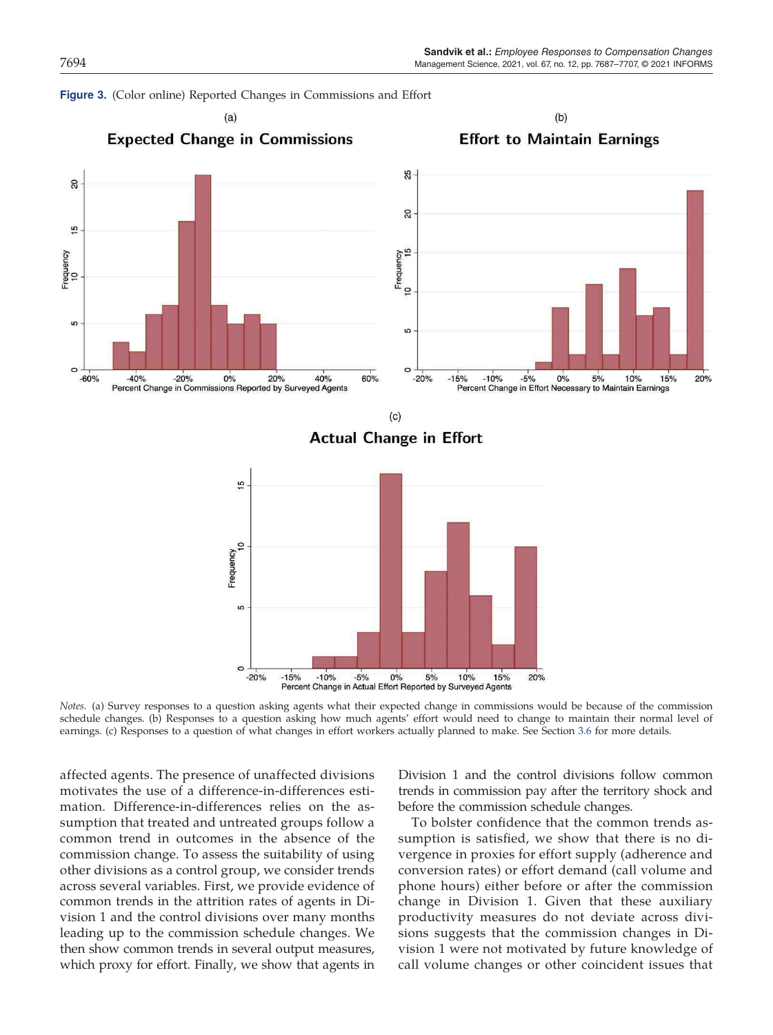



*Notes.* (a) Survey responses to a question asking agents what their expected change in commissions would be because of the commission schedule changes. (b) Responses to a question asking how much agents' effort would need to change to maintain their normal level of earnings. (c) Responses to a question of what changes in effort workers actually planned to make. See Section 3.6 for more details.

affected agents. The presence of unaffected divisions motivates the use of a difference-in-differences estimation. Difference-in-differences relies on the assumption that treated and untreated groups follow a common trend in outcomes in the absence of the commission change. To assess the suitability of using other divisions as a control group, we consider trends across several variables. First, we provide evidence of common trends in the attrition rates of agents in Division 1 and the control divisions over many months leading up to the commission schedule changes. We then show common trends in several output measures, which proxy for effort. Finally, we show that agents in

Division 1 and the control divisions follow common trends in commission pay after the territory shock and before the commission schedule changes.

To bolster confidence that the common trends assumption is satisfied, we show that there is no divergence in proxies for effort supply (adherence and conversion rates) or effort demand (call volume and phone hours) either before or after the commission change in Division 1. Given that these auxiliary productivity measures do not deviate across divisions suggests that the commission changes in Division 1 were not motivated by future knowledge of call volume changes or other coincident issues that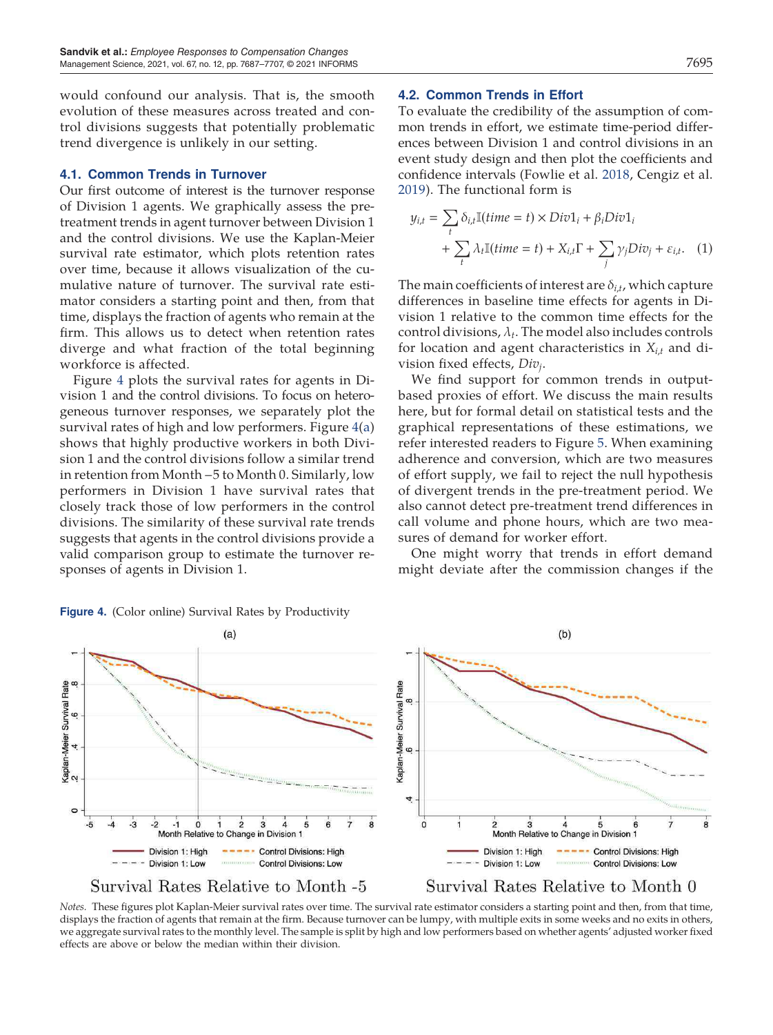would confound our analysis. That is, the smooth evolution of these measures across treated and control divisions suggests that potentially problematic trend divergence is unlikely in our setting.

#### 4.1. Common Trends in Turnover

Our first outcome of interest is the turnover response of Division 1 agents. We graphically assess the pretreatment trends in agent turnover between Division 1 and the control divisions. We use the Kaplan-Meier survival rate estimator, which plots retention rates over time, because it allows visualization of the cumulative nature of turnover. The survival rate estimator considers a starting point and then, from that time, displays the fraction of agents who remain at the firm. This allows us to detect when retention rates diverge and what fraction of the total beginning workforce is affected.

Figure 4 plots the survival rates for agents in Division 1 and the control divisions. To focus on heterogeneous turnover responses, we separately plot the survival rates of high and low performers. Figure 4(a) shows that highly productive workers in both Division 1 and the control divisions follow a similar trend in retention from Month −5 to Month 0. Similarly, low performers in Division 1 have survival rates that closely track those of low performers in the control divisions. The similarity of these survival rate trends suggests that agents in the control divisions provide a valid comparison group to estimate the turnover responses of agents in Division 1.

#### Figure 4. (Color online) Survival Rates by Productivity

## 4.2. Common Trends in Effort

To evaluate the credibility of the assumption of common trends in effort, we estimate time-period differences between Division 1 and control divisions in an event study design and then plot the coefficients and confidence intervals (Fowlie et al. 2018, Cengiz et al. 2019). The functional form is

$$
y_{i,t} = \sum_{t} \delta_{i,t} \mathbb{I}(time = t) \times Div1_i + \beta_i Div1_i
$$
  
+ 
$$
\sum_{t} \lambda_t \mathbb{I}(time = t) + X_{i,t}\Gamma + \sum_{j} \gamma_j Div_j + \varepsilon_{i,t}.
$$
 (1)

The main coefficients of interest are  $\delta_{i,t}$ , which capture differences in baseline time effects for agents in Division 1 relative to the common time effects for the control divisions,  $\lambda_t$ . The model also includes controls for location and agent characteristics in *Xi*,*<sup>t</sup>* and division fixed effects, *Div<sup>j</sup>* .

We find support for common trends in outputbased proxies of effort. We discuss the main results here, but for formal detail on statistical tests and the graphical representations of these estimations, we refer interested readers to Figure 5. When examining adherence and conversion, which are two measures of effort supply, we fail to reject the null hypothesis of divergent trends in the pre-treatment period. We also cannot detect pre-treatment trend differences in call volume and phone hours, which are two measures of demand for worker effort.

One might worry that trends in effort demand might deviate after the commission changes if the



*Notes.* These figures plot Kaplan-Meier survival rates over time. The survival rate estimator considers a starting point and then, from that time, displays the fraction of agents that remain at the firm. Because turnover can be lumpy, with multiple exits in some weeks and no exits in others, we aggregate survival rates to the monthly level. The sample is split by high and low performers based on whether agents' adjusted worker fixed effects are above or below the median within their division.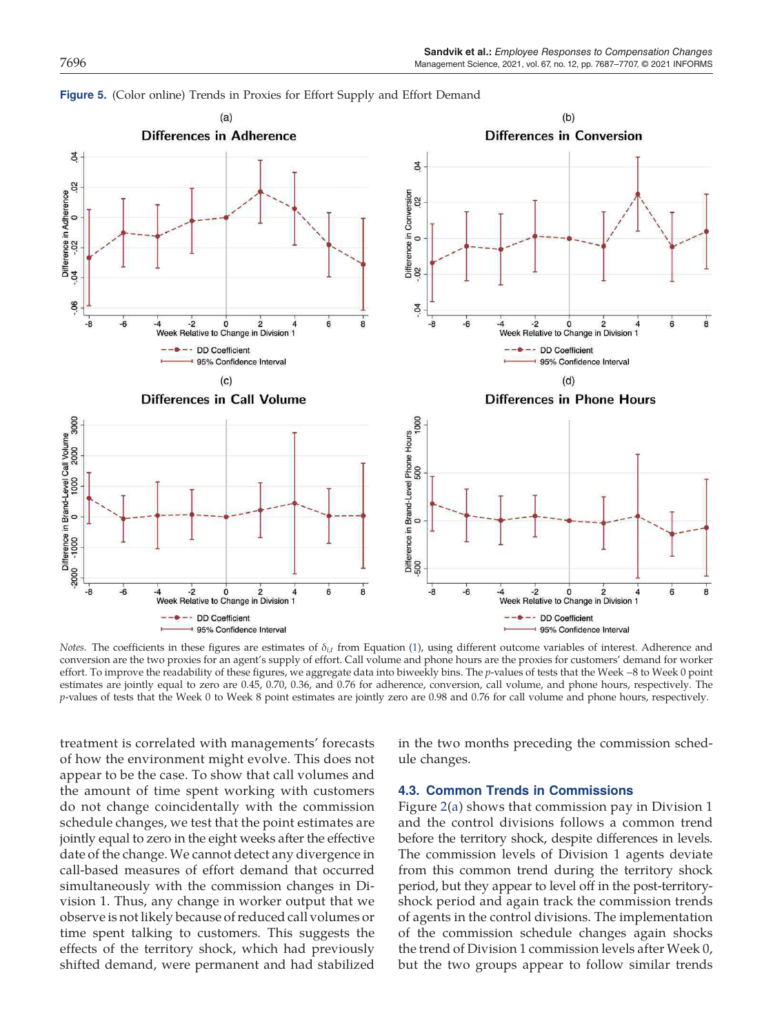

Figure 5. (Color online) Trends in Proxies for Effort Supply and Effort Demand

*Notes*. The coefficients in these figures are estimates of δ<sub>*i*,*t*</sub> from Equation (1), using different outcome variables of interest. Adherence and conversion are the two proxies for an agent's supply of effort. Call volume and phone hours are the proxies for customers' demand for worker effort. To improve the readability of these figures, we aggregate data into biweekly bins. The *p*-values of tests that the Week −8 to Week 0 point estimates are jointly equal to zero are 0.45, 0.70, 0.36, and 0.76 for adherence, conversion, call volume, and phone hours, respectively. The *p*-values of tests that the Week 0 to Week 8 point estimates are jointly zero are 0.98 and 0.76 for call volume and phone hours, respectively.

treatment is correlated with managements' forecasts of how the environment might evolve. This does not appear to be the case. To show that call volumes and the amount of time spent working with customers do not change coincidentally with the commission schedule changes, we test that the point estimates are jointly equal to zero in the eight weeks after the effective date of the change. We cannot detect any divergence in call-based measures of effort demand that occurred simultaneously with the commission changes in Division 1. Thus, any change in worker output that we observe is not likely because of reduced call volumes or time spent talking to customers. This suggests the effects of the territory shock, which had previously shifted demand, were permanent and had stabilized

in the two months preceding the commission schedule changes.

## 4.3. Common Trends in Commissions

Figure 2(a) shows that commission pay in Division 1 and the control divisions follows a common trend before the territory shock, despite differences in levels. The commission levels of Division 1 agents deviate from this common trend during the territory shock period, but they appear to level off in the post-territoryshock period and again track the commission trends of agents in the control divisions. The implementation of the commission schedule changes again shocks the trend of Division 1 commission levels after Week 0, but the two groups appear to follow similar trends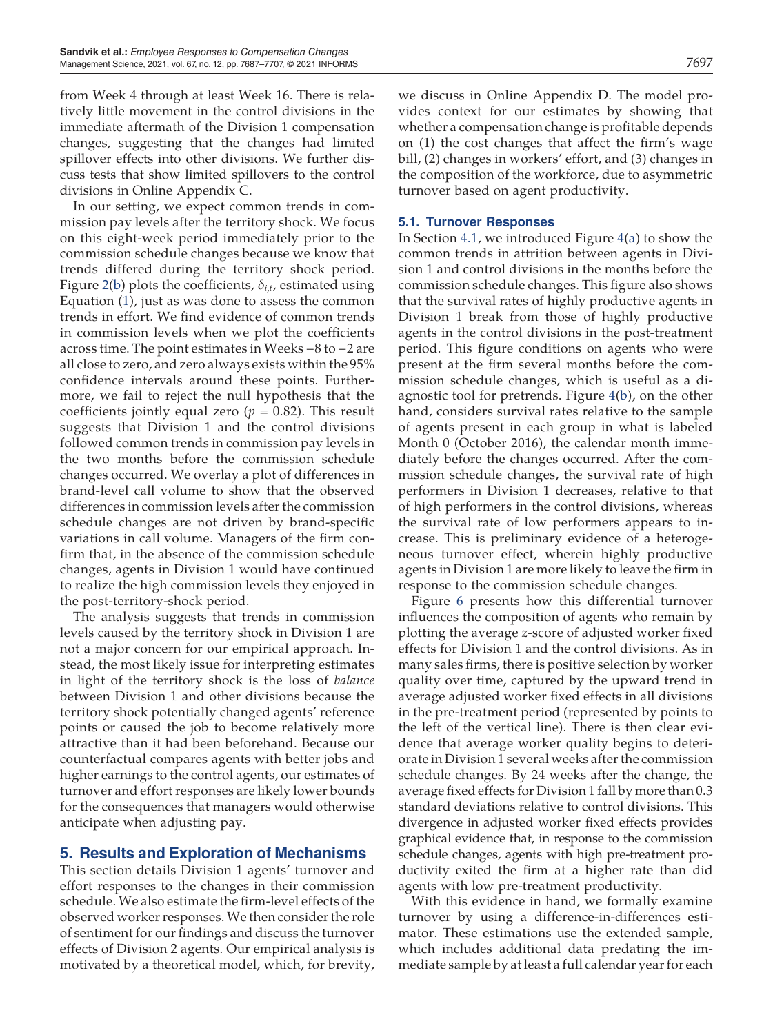from Week 4 through at least Week 16. There is relatively little movement in the control divisions in the immediate aftermath of the Division 1 compensation changes, suggesting that the changes had limited spillover effects into other divisions. We further discuss tests that show limited spillovers to the control divisions in Online Appendix C.

In our setting, we expect common trends in commission pay levels after the territory shock. We focus on this eight-week period immediately prior to the commission schedule changes because we know that trends differed during the territory shock period. Figure 2(b) plots the coefficients, δ*<sup>i</sup>*,*<sup>t</sup>* , estimated using Equation (1), just as was done to assess the common trends in effort. We find evidence of common trends in commission levels when we plot the coefficients across time. The point estimates in Weeks −8 to −2 are all close to zero, and zero always exists within the 95% confidence intervals around these points. Furthermore, we fail to reject the null hypothesis that the coefficients jointly equal zero ( $p = 0.82$ ). This result suggests that Division 1 and the control divisions followed common trends in commission pay levels in the two months before the commission schedule changes occurred. We overlay a plot of differences in brand-level call volume to show that the observed differences in commission levels after the commission schedule changes are not driven by brand-specific variations in call volume. Managers of the firm confirm that, in the absence of the commission schedule changes, agents in Division 1 would have continued to realize the high commission levels they enjoyed in the post-territory-shock period.

The analysis suggests that trends in commission levels caused by the territory shock in Division 1 are not a major concern for our empirical approach. Instead, the most likely issue for interpreting estimates in light of the territory shock is the loss of *balance* between Division 1 and other divisions because the territory shock potentially changed agents' reference points or caused the job to become relatively more attractive than it had been beforehand. Because our counterfactual compares agents with better jobs and higher earnings to the control agents, our estimates of turnover and effort responses are likely lower bounds for the consequences that managers would otherwise anticipate when adjusting pay.

# 5. Results and Exploration of Mechanisms

This section details Division 1 agents' turnover and effort responses to the changes in their commission schedule. We also estimate the firm-level effects of the observed worker responses.We then consider the role of sentiment for our findings and discuss the turnover effects of Division 2 agents. Our empirical analysis is motivated by a theoretical model, which, for brevity, we discuss in Online Appendix D. The model provides context for our estimates by showing that whether a compensation change is profitable depends on (1) the cost changes that affect the firm's wage bill, (2) changes in workers' effort, and (3) changes in the composition of the workforce, due to asymmetric turnover based on agent productivity.

## 5.1. Turnover Responses

In Section 4.1, we introduced Figure 4(a) to show the common trends in attrition between agents in Division 1 and control divisions in the months before the commission schedule changes. This figure also shows that the survival rates of highly productive agents in Division 1 break from those of highly productive agents in the control divisions in the post-treatment period. This figure conditions on agents who were present at the firm several months before the commission schedule changes, which is useful as a diagnostic tool for pretrends. Figure 4(b), on the other hand, considers survival rates relative to the sample of agents present in each group in what is labeled Month 0 (October 2016), the calendar month immediately before the changes occurred. After the commission schedule changes, the survival rate of high performers in Division 1 decreases, relative to that of high performers in the control divisions, whereas the survival rate of low performers appears to increase. This is preliminary evidence of a heterogeneous turnover effect, wherein highly productive agents in Division 1 are more likely to leave the firm in response to the commission schedule changes.

Figure 6 presents how this differential turnover influences the composition of agents who remain by plotting the average *z*-score of adjusted worker fixed effects for Division 1 and the control divisions. As in many sales firms, there is positive selection by worker quality over time, captured by the upward trend in average adjusted worker fixed effects in all divisions in the pre-treatment period (represented by points to the left of the vertical line). There is then clear evidence that average worker quality begins to deteriorate in Division 1 several weeks after the commission schedule changes. By 24 weeks after the change, the average fixed effects for Division 1 fall by more than 0.3 standard deviations relative to control divisions. This divergence in adjusted worker fixed effects provides graphical evidence that, in response to the commission schedule changes, agents with high pre-treatment productivity exited the firm at a higher rate than did agents with low pre-treatment productivity.

With this evidence in hand, we formally examine turnover by using a difference-in-differences estimator. These estimations use the extended sample, which includes additional data predating the immediate sample by at least a full calendar year for each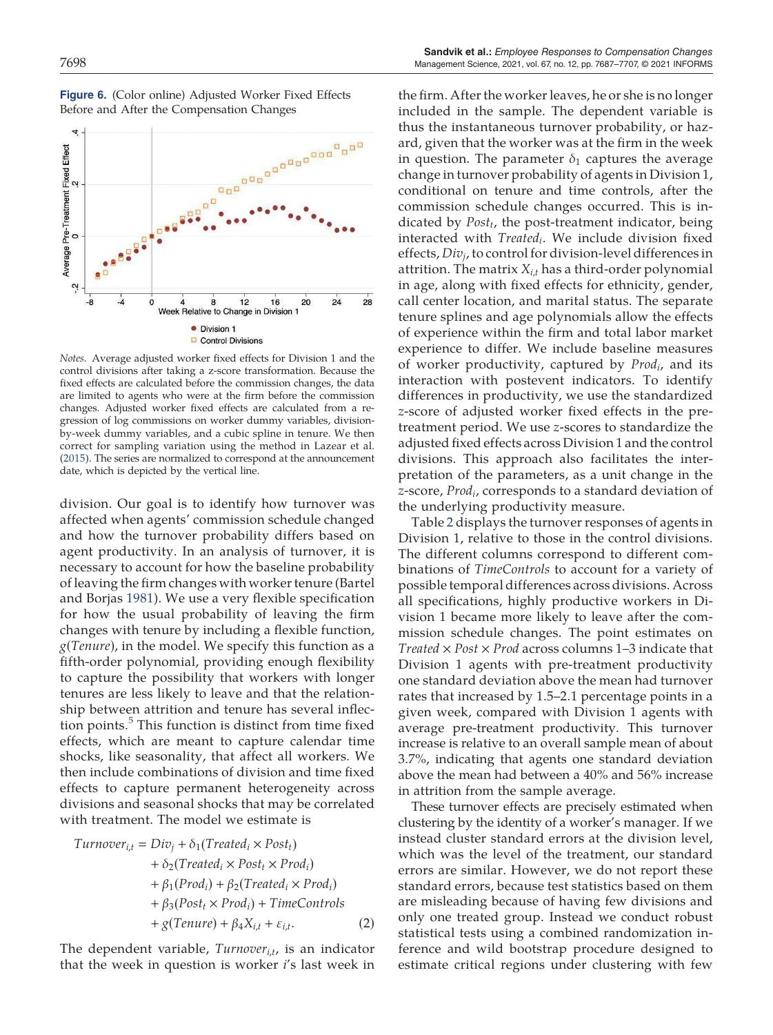

Figure 6. (Color online) Adjusted Worker Fixed Effects Before and After the Compensation Changes

*Notes.* Average adjusted worker fixed effects for Division 1 and the control divisions after taking a z-score transformation. Because the fixed effects are calculated before the commission changes, the data are limited to agents who were at the firm before the commission changes. Adjusted worker fixed effects are calculated from a regression of log commissions on worker dummy variables, divisionby-week dummy variables, and a cubic spline in tenure. We then correct for sampling variation using the method in Lazear et al. (2015). The series are normalized to correspond at the announcement date, which is depicted by the vertical line.

division. Our goal is to identify how turnover was affected when agents' commission schedule changed and how the turnover probability differs based on agent productivity. In an analysis of turnover, it is necessary to account for how the baseline probability of leaving the firm changes with worker tenure (Bartel and Borjas 1981). We use a very flexible specification for how the usual probability of leaving the firm changes with tenure by including a flexible function, *g*(*Tenure*), in the model. We specify this function as a fifth-order polynomial, providing enough flexibility to capture the possibility that workers with longer tenures are less likely to leave and that the relationship between attrition and tenure has several inflection points.<sup>5</sup> This function is distinct from time fixed effects, which are meant to capture calendar time shocks, like seasonality, that affect all workers. We then include combinations of division and time fixed effects to capture permanent heterogeneity across divisions and seasonal shocks that may be correlated with treatment. The model we estimate is

Turnover<sub>i,t</sub> = Div<sub>j</sub> + 
$$
\delta_1
$$
(Treated<sub>i</sub> × Post<sub>t</sub>)  
+  $\delta_2$ (Treated<sub>i</sub> × Post<sub>t</sub> × Prod<sub>i</sub>)  
+  $\beta_1$ (Prod<sub>i</sub>) +  $\beta_2$ (Treated<sub>i</sub> × Prod<sub>i</sub>)  
+  $\beta_3$ (Post<sub>t</sub> × Prod<sub>i</sub>) + TimeControls  
+  $g$ (Tenure) +  $\beta_4$ X<sub>i,t</sub> +  $\varepsilon_{i,t}$ . (2)

The dependent variable, *Turnover<sup>i</sup>*,*<sup>t</sup>* , is an indicator that the week in question is worker *i*'s last week in

the firm. After the worker leaves, he or she is no longer included in the sample. The dependent variable is thus the instantaneous turnover probability, or hazard, given that the worker was at the firm in the week in question. The parameter  $\delta_1$  captures the average change in turnover probability of agents in Division 1, conditional on tenure and time controls, after the commission schedule changes occurred. This is indicated by *Post<sup>t</sup>* , the post-treatment indicator, being interacted with *Treated<sup>i</sup>* . We include division fixed effects, *Div<sup>j</sup>* , to control for division-level differences in attrition. The matrix *Xi*,*<sup>t</sup>* has a third-order polynomial in age, along with fixed effects for ethnicity, gender, call center location, and marital status. The separate tenure splines and age polynomials allow the effects of experience within the firm and total labor market experience to differ. We include baseline measures of worker productivity, captured by *Prod<sup>i</sup>* , and its interaction with postevent indicators. To identify differences in productivity, we use the standardized *z*-score of adjusted worker fixed effects in the pretreatment period. We use *z*-scores to standardize the adjusted fixed effects across Division 1 and the control divisions. This approach also facilitates the interpretation of the parameters, as a unit change in the *z*-score, *Prod<sup>i</sup>* , corresponds to a standard deviation of the underlying productivity measure.

Table 2 displays the turnover responses of agents in Division 1, relative to those in the control divisions. The different columns correspond to different combinations of *TimeControls* to account for a variety of possible temporal differences across divisions. Across all specifications, highly productive workers in Division 1 became more likely to leave after the commission schedule changes. The point estimates on *Treated* × *Post* × *Prod* across columns 1–3 indicate that Division 1 agents with pre-treatment productivity one standard deviation above the mean had turnover rates that increased by 1.5–2.1 percentage points in a given week, compared with Division 1 agents with average pre-treatment productivity. This turnover increase is relative to an overall sample mean of about 3.7%, indicating that agents one standard deviation above the mean had between a 40% and 56% increase in attrition from the sample average.

These turnover effects are precisely estimated when clustering by the identity of a worker's manager. If we instead cluster standard errors at the division level, which was the level of the treatment, our standard errors are similar. However, we do not report these standard errors, because test statistics based on them are misleading because of having few divisions and only one treated group. Instead we conduct robust statistical tests using a combined randomization inference and wild bootstrap procedure designed to estimate critical regions under clustering with few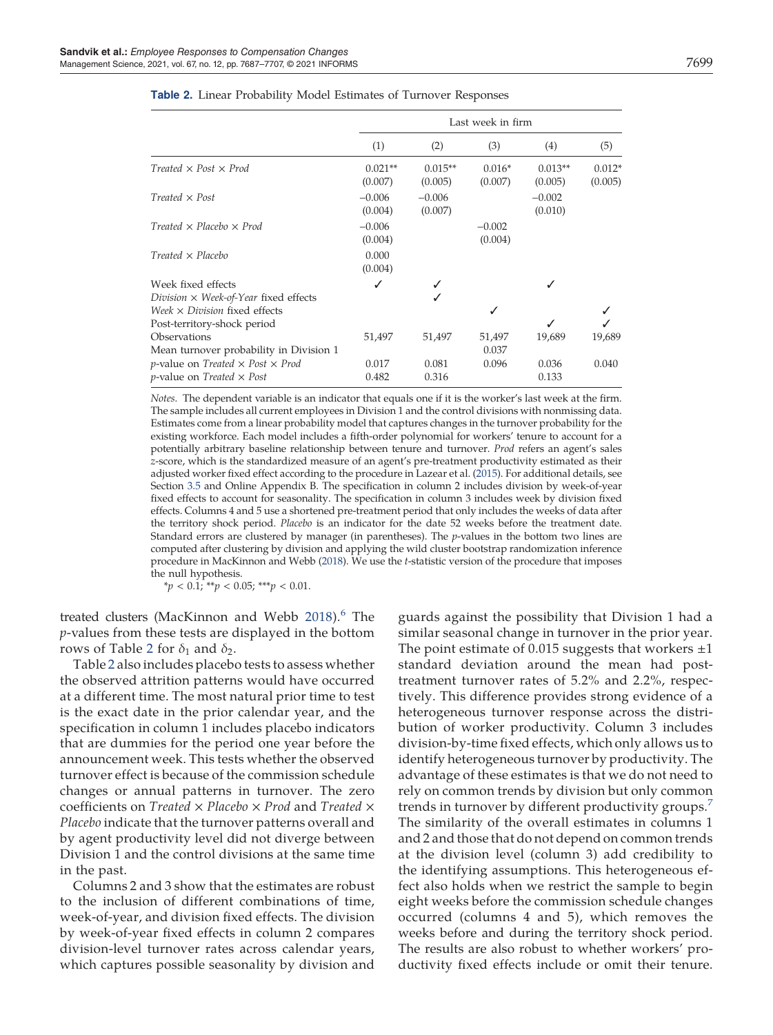|                                                                                                                                       | Last week in firm    |                      |                     |                      |                     |
|---------------------------------------------------------------------------------------------------------------------------------------|----------------------|----------------------|---------------------|----------------------|---------------------|
|                                                                                                                                       | (1)                  | (2)                  | (3)                 | (4)                  | (5)                 |
| Treated $\times$ Post $\times$ Prod                                                                                                   | $0.021**$<br>(0.007) | $0.015**$<br>(0.005) | $0.016*$<br>(0.007) | $0.013**$<br>(0.005) | $0.012*$<br>(0.005) |
| $Treated \times Post$                                                                                                                 | $-0.006$<br>(0.004)  | $-0.006$<br>(0.007)  |                     | $-0.002$<br>(0.010)  |                     |
| Treated $\times$ Placebo $\times$ Prod                                                                                                | $-0.006$<br>(0.004)  |                      | $-0.002$<br>(0.004) |                      |                     |
| $Treated \times Placebo$                                                                                                              | 0.000<br>(0.004)     |                      |                     |                      |                     |
| Week fixed effects                                                                                                                    | √                    |                      |                     |                      |                     |
| Division $\times$ Week-of-Year fixed effects                                                                                          |                      |                      |                     |                      |                     |
| Week $\times$ Division fixed effects                                                                                                  |                      |                      | J                   |                      |                     |
| Post-territory-shock period                                                                                                           |                      |                      |                     | ✓                    |                     |
| Observations<br>Mean turnover probability in Division 1                                                                               | 51,497               | 51,497               | 51,497<br>0.037     | 19,689               | 19,689              |
| <i>p</i> -value on <i>Treated</i> $\times$ <i>Post</i> $\times$ <i>Prod</i><br><i>p</i> -value on <i>Treated</i> $\times$ <i>Post</i> | 0.017<br>0.482       | 0.081<br>0.316       | 0.096               | 0.036<br>0.133       | 0.040               |

| <b>Table 2.</b> Linear Probability Model Estimates of Turnover Responses |  |
|--------------------------------------------------------------------------|--|
|--------------------------------------------------------------------------|--|

*Notes.* The dependent variable is an indicator that equals one if it is the worker's last week at the firm. The sample includes all current employees in Division 1 and the control divisions with nonmissing data. Estimates come from a linear probability model that captures changes in the turnover probability for the existing workforce. Each model includes a fifth-order polynomial for workers' tenure to account for a potentially arbitrary baseline relationship between tenure and turnover. *Prod* refers an agent's sales *z*-score, which is the standardized measure of an agent's pre-treatment productivity estimated as their adjusted worker fixed effect according to the procedure in Lazear et al. (2015). For additional details, see Section 3.5 and Online Appendix B. The specification in column 2 includes division by week-of-year fixed effects to account for seasonality. The specification in column 3 includes week by division fixed effects. Columns 4 and 5 use a shortened pre-treatment period that only includes the weeks of data after the territory shock period. *Placebo* is an indicator for the date 52 weeks before the treatment date. Standard errors are clustered by manager (in parentheses). The *p*-values in the bottom two lines are computed after clustering by division and applying the wild cluster bootstrap randomization inference procedure in MacKinnon and Webb (2018). We use the *t*-statistic version of the procedure that imposes the null hypothesis.

\**p* < 0.1; \*\**p* < 0.05; \*\*\**p* < 0.01.

treated clusters (MacKinnon and Webb 2018).<sup>6</sup> The *p*-values from these tests are displayed in the bottom rows of Table 2 for  $\delta_1$  and  $\delta_2$ .

Table 2 also includes placebo tests to assess whether the observed attrition patterns would have occurred at a different time. The most natural prior time to test is the exact date in the prior calendar year, and the specification in column 1 includes placebo indicators that are dummies for the period one year before the announcement week. This tests whether the observed turnover effect is because of the commission schedule changes or annual patterns in turnover. The zero coefficients on *Treated* × *Placebo* × *Prod* and *Treated* × *Placebo* indicate that the turnover patterns overall and by agent productivity level did not diverge between Division 1 and the control divisions at the same time in the past.

Columns 2 and 3 show that the estimates are robust to the inclusion of different combinations of time, week-of-year, and division fixed effects. The division by week-of-year fixed effects in column 2 compares division-level turnover rates across calendar years, which captures possible seasonality by division and

guards against the possibility that Division 1 had a similar seasonal change in turnover in the prior year. The point estimate of 0.015 suggests that workers  $\pm 1$ standard deviation around the mean had posttreatment turnover rates of 5.2% and 2.2%, respectively. This difference provides strong evidence of a heterogeneous turnover response across the distribution of worker productivity. Column 3 includes division-by-time fixed effects, which only allows us to identify heterogeneous turnover by productivity. The advantage of these estimates is that we do not need to rely on common trends by division but only common trends in turnover by different productivity groups.<sup>7</sup> The similarity of the overall estimates in columns 1 and 2 and those that do not depend on common trends at the division level (column 3) add credibility to the identifying assumptions. This heterogeneous effect also holds when we restrict the sample to begin eight weeks before the commission schedule changes occurred (columns 4 and 5), which removes the weeks before and during the territory shock period. The results are also robust to whether workers' productivity fixed effects include or omit their tenure.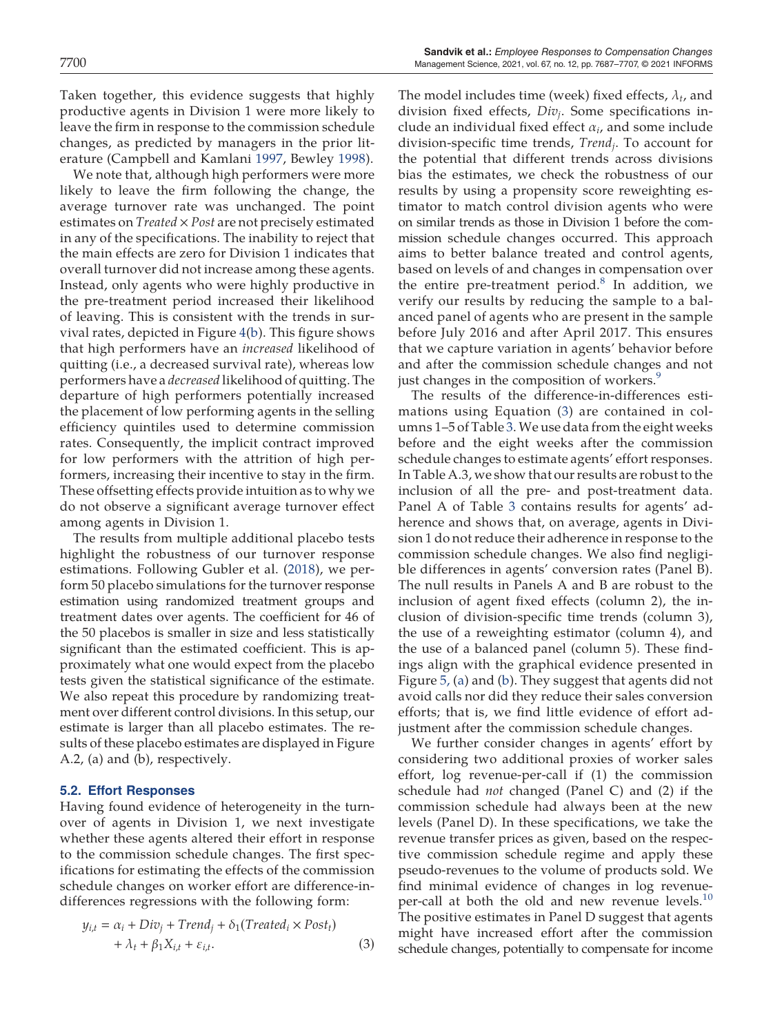Taken together, this evidence suggests that highly productive agents in Division 1 were more likely to leave the firm in response to the commission schedule changes, as predicted by managers in the prior literature (Campbell and Kamlani 1997, Bewley 1998).

We note that, although high performers were more likely to leave the firm following the change, the average turnover rate was unchanged. The point estimates on *Treated* × *Post* are not precisely estimated in any of the specifications. The inability to reject that the main effects are zero for Division 1 indicates that overall turnover did not increase among these agents. Instead, only agents who were highly productive in the pre-treatment period increased their likelihood of leaving. This is consistent with the trends in survival rates, depicted in Figure 4(b). This figure shows that high performers have an *increased* likelihood of quitting (i.e., a decreased survival rate), whereas low performers have a *decreased* likelihood of quitting. The departure of high performers potentially increased the placement of low performing agents in the selling efficiency quintiles used to determine commission rates. Consequently, the implicit contract improved for low performers with the attrition of high performers, increasing their incentive to stay in the firm. These offsetting effects provide intuition as to why we do not observe a significant average turnover effect among agents in Division 1.

The results from multiple additional placebo tests highlight the robustness of our turnover response estimations. Following Gubler et al. (2018), we perform 50 placebo simulations for the turnover response estimation using randomized treatment groups and treatment dates over agents. The coefficient for 46 of the 50 placebos is smaller in size and less statistically significant than the estimated coefficient. This is approximately what one would expect from the placebo tests given the statistical significance of the estimate. We also repeat this procedure by randomizing treatment over different control divisions. In this setup, our estimate is larger than all placebo estimates. The results of these placebo estimates are displayed in Figure A.2, (a) and (b), respectively.

## 5.2. Effort Responses

Having found evidence of heterogeneity in the turnover of agents in Division 1, we next investigate whether these agents altered their effort in response to the commission schedule changes. The first specifications for estimating the effects of the commission schedule changes on worker effort are difference-indifferences regressions with the following form:

$$
y_{i,t} = \alpha_i + Div_j + Trend_j + \delta_1(Treated_i \times Post_t) + \lambda_t + \beta_1 X_{i,t} + \varepsilon_{i,t}.
$$
 (3)

The model includes time (week) fixed effects,  $\lambda_t$ , and division fixed effects, *Div<sup>j</sup>* . Some specifications include an individual fixed effect  $\alpha_i$ , and some include division-specific time trends, *Trend<sup>j</sup>* . To account for the potential that different trends across divisions bias the estimates, we check the robustness of our results by using a propensity score reweighting estimator to match control division agents who were on similar trends as those in Division 1 before the commission schedule changes occurred. This approach aims to better balance treated and control agents, based on levels of and changes in compensation over the entire pre-treatment period.<sup>8</sup> In addition, we verify our results by reducing the sample to a balanced panel of agents who are present in the sample before July 2016 and after April 2017. This ensures that we capture variation in agents' behavior before and after the commission schedule changes and not just changes in the composition of workers.<sup>9</sup>

The results of the difference-in-differences estimations using Equation (3) are contained in columns 1–5 of Table 3.We use data from the eight weeks before and the eight weeks after the commission schedule changes to estimate agents' effort responses. In Table A.3, we show that our results are robust to the inclusion of all the pre- and post-treatment data. Panel A of Table 3 contains results for agents' adherence and shows that, on average, agents in Division 1 do not reduce their adherence in response to the commission schedule changes. We also find negligible differences in agents' conversion rates (Panel B). The null results in Panels A and B are robust to the inclusion of agent fixed effects (column 2), the inclusion of division-specific time trends (column 3), the use of a reweighting estimator (column 4), and the use of a balanced panel (column 5). These findings align with the graphical evidence presented in Figure 5, (a) and (b). They suggest that agents did not avoid calls nor did they reduce their sales conversion efforts; that is, we find little evidence of effort adjustment after the commission schedule changes.

We further consider changes in agents' effort by considering two additional proxies of worker sales effort, log revenue-per-call if (1) the commission schedule had *not* changed (Panel C) and (2) if the commission schedule had always been at the new levels (Panel D). In these specifications, we take the revenue transfer prices as given, based on the respective commission schedule regime and apply these pseudo-revenues to the volume of products sold. We find minimal evidence of changes in log revenueper-call at both the old and new revenue levels. $^{10}$ The positive estimates in Panel D suggest that agents might have increased effort after the commission schedule changes, potentially to compensate for income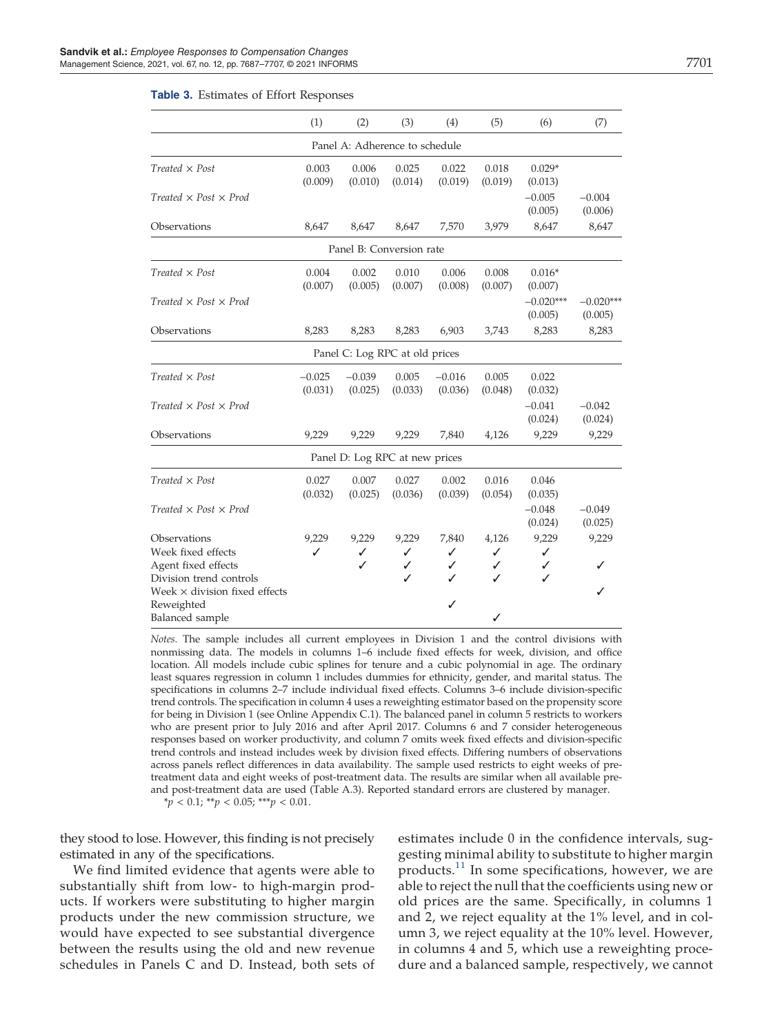#### Table 3. Estimates of Effort Responses

|                                           | (1)                 | (2)                            | (3)              | (4)                 | (5)              | (6)                    | (7)                    |
|-------------------------------------------|---------------------|--------------------------------|------------------|---------------------|------------------|------------------------|------------------------|
|                                           |                     | Panel A: Adherence to schedule |                  |                     |                  |                        |                        |
| $Treated \times Post$                     | 0.003<br>(0.009)    | 0.006<br>(0.010)               | 0.025<br>(0.014) | 0.022<br>(0.019)    | 0.018<br>(0.019) | $0.029*$<br>(0.013)    |                        |
| Treated $\times$ Post $\times$ Prod       |                     |                                |                  |                     |                  | $-0.005$<br>(0.005)    | $-0.004$<br>(0.006)    |
| Observations                              | 8,647               | 8,647                          | 8,647            | 7,570               | 3,979            | 8,647                  | 8,647                  |
|                                           |                     | Panel B: Conversion rate       |                  |                     |                  |                        |                        |
| $Treated \times Post$                     | 0.004<br>(0.007)    | 0.002<br>(0.005)               | 0.010<br>(0.007) | 0.006<br>(0.008)    | 0.008<br>(0.007) | $0.016*$<br>(0.007)    |                        |
| $Treated \times Post \times Prod$         |                     |                                |                  |                     |                  | $-0.020***$<br>(0.005) | $-0.020***$<br>(0.005) |
| Observations                              | 8,283               | 8,283                          | 8,283            | 6,903               | 3,743            | 8,283                  | 8,283                  |
|                                           |                     | Panel C: Log RPC at old prices |                  |                     |                  |                        |                        |
| $Treated \times Post$                     | $-0.025$<br>(0.031) | $-0.039$<br>(0.025)            | 0.005<br>(0.033) | $-0.016$<br>(0.036) | 0.005<br>(0.048) | 0.022<br>(0.032)       |                        |
| Treated $\times$ Post $\times$ Prod       |                     |                                |                  |                     |                  | $-0.041$<br>(0.024)    | $-0.042$<br>(0.024)    |
| Observations                              | 9,229               | 9,229                          | 9,229            | 7,840               | 4,126            | 9,229                  | 9,229                  |
|                                           |                     | Panel D: Log RPC at new prices |                  |                     |                  |                        |                        |
| $Treated \times Post$                     | 0.027<br>(0.032)    | 0.007<br>(0.025)               | 0.027<br>(0.036) | 0.002<br>(0.039)    | 0.016<br>(0.054) | 0.046<br>(0.035)       |                        |
| Treated $\times$ Post $\times$ Prod       |                     |                                |                  |                     |                  | $-0.048$<br>(0.024)    | $-0.049$<br>(0.025)    |
| Observations                              | 9,229               | 9,229                          | 9,229            | 7,840               | 4,126            | 9,229                  | 9,229                  |
| Week fixed effects<br>Agent fixed effects | ✓                   | ✓<br>✓                         | ✓<br>✓           | ✓<br>✓              | ✓<br>✓           | ✓<br>✓                 |                        |
| Division trend controls                   |                     |                                | ✓                | ✓                   | ℐ                | ✓                      |                        |
| Week $\times$ division fixed effects      |                     |                                |                  |                     |                  |                        | ✓                      |
| Reweighted                                |                     |                                |                  | ✓                   |                  |                        |                        |
| <b>Balanced</b> sample                    |                     |                                |                  |                     | ✓                |                        |                        |

*Notes.* The sample includes all current employees in Division 1 and the control divisions with nonmissing data. The models in columns 1–6 include fixed effects for week, division, and office location. All models include cubic splines for tenure and a cubic polynomial in age. The ordinary least squares regression in column 1 includes dummies for ethnicity, gender, and marital status. The specifications in columns 2–7 include individual fixed effects. Columns 3–6 include division-specific trend controls. The specification in column 4 uses a reweighting estimator based on the propensity score for being in Division 1 (see Online Appendix C.1). The balanced panel in column 5 restricts to workers who are present prior to July 2016 and after April 2017. Columns 6 and 7 consider heterogeneous responses based on worker productivity, and column 7 omits week fixed effects and division-specific trend controls and instead includes week by division fixed effects. Differing numbers of observations across panels reflect differences in data availability. The sample used restricts to eight weeks of pretreatment data and eight weeks of post-treatment data. The results are similar when all available preand post-treatment data are used (Table A.3). Reported standard errors are clustered by manager. \**p* < 0.1; \*\**p* < 0.05; \*\*\**p* < 0.01.

they stood to lose. However, this finding is not precisely estimated in any of the specifications.

We find limited evidence that agents were able to substantially shift from low- to high-margin products. If workers were substituting to higher margin products under the new commission structure, we would have expected to see substantial divergence between the results using the old and new revenue schedules in Panels C and D. Instead, both sets of

estimates include 0 in the confidence intervals, suggesting minimal ability to substitute to higher margin products. $11$  In some specifications, however, we are able to reject the null that the coefficients using new or old prices are the same. Specifically, in columns 1 and 2, we reject equality at the 1% level, and in column 3, we reject equality at the 10% level. However, in columns 4 and 5, which use a reweighting procedure and a balanced sample, respectively, we cannot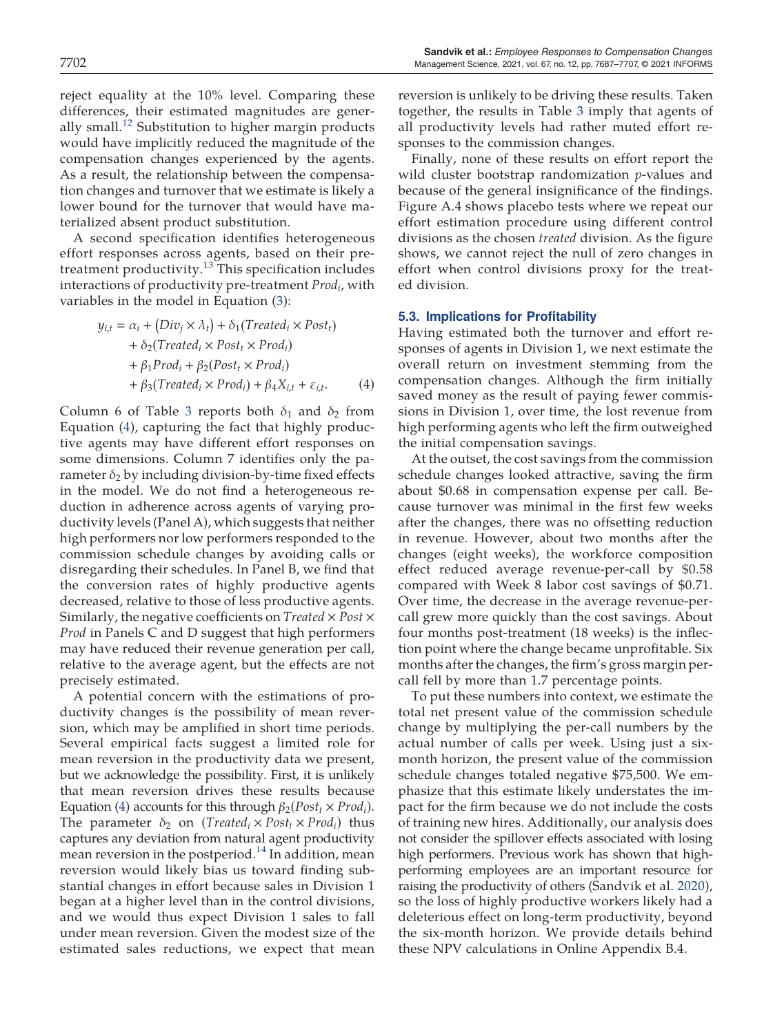reject equality at the 10% level. Comparing these differences, their estimated magnitudes are generally small.<sup>12</sup> Substitution to higher margin products would have implicitly reduced the magnitude of the compensation changes experienced by the agents. As a result, the relationship between the compensation changes and turnover that we estimate is likely a lower bound for the turnover that would have materialized absent product substitution.

A second specification identifies heterogeneous effort responses across agents, based on their pretreatment productivity. $13$  This specification includes interactions of productivity pre-treatment *Prod<sup>i</sup>* , with variables in the model in Equation (3):

$$
y_{i,t} = \alpha_i + (Div_j \times \lambda_t) + \delta_1(Treated_i \times Post_t)
$$
  
+  $\delta_2(Treated_i \times Post_t \times Prod_i)$   
+  $\beta_1 Prod_i + \beta_2(Post_t \times Prod_i)$   
+  $\beta_3(Treated_i \times Prod_i) + \beta_4 X_{i,t} + \varepsilon_{i,t}.$  (4)

Column 6 of Table 3 reports both  $\delta_1$  and  $\delta_2$  from Equation (4), capturing the fact that highly productive agents may have different effort responses on some dimensions. Column 7 identifies only the parameter  $\delta_2$  by including division-by-time fixed effects in the model. We do not find a heterogeneous reduction in adherence across agents of varying productivity levels (Panel A), which suggests that neither high performers nor low performers responded to the commission schedule changes by avoiding calls or disregarding their schedules. In Panel B, we find that the conversion rates of highly productive agents decreased, relative to those of less productive agents. Similarly, the negative coefficients on *Treated*  $\times$  *Post*  $\times$ *Prod* in Panels C and D suggest that high performers may have reduced their revenue generation per call, relative to the average agent, but the effects are not precisely estimated.

A potential concern with the estimations of productivity changes is the possibility of mean reversion, which may be amplified in short time periods. Several empirical facts suggest a limited role for mean reversion in the productivity data we present, but we acknowledge the possibility. First, it is unlikely that mean reversion drives these results because Equation (4) accounts for this through  $\beta_2(Post_t \times Prod_i)$ . The parameter  $\delta_2$  on (*Treated<sub>i</sub>* × *Post<sub>t</sub>* × *Prod<sub>i</sub>*) thus captures any deviation from natural agent productivity mean reversion in the postperiod.<sup>14</sup> In addition, mean reversion would likely bias us toward finding substantial changes in effort because sales in Division 1 began at a higher level than in the control divisions, and we would thus expect Division 1 sales to fall under mean reversion. Given the modest size of the estimated sales reductions, we expect that mean

reversion is unlikely to be driving these results. Taken together, the results in Table 3 imply that agents of all productivity levels had rather muted effort responses to the commission changes.

Finally, none of these results on effort report the wild cluster bootstrap randomization *p*-values and because of the general insignificance of the findings. Figure A.4 shows placebo tests where we repeat our effort estimation procedure using different control divisions as the chosen *treated* division. As the figure shows, we cannot reject the null of zero changes in effort when control divisions proxy for the treated division.

## 5.3. Implications for Profitability

Having estimated both the turnover and effort responses of agents in Division 1, we next estimate the overall return on investment stemming from the compensation changes. Although the firm initially saved money as the result of paying fewer commissions in Division 1, over time, the lost revenue from high performing agents who left the firm outweighed the initial compensation savings.

At the outset, the cost savings from the commission schedule changes looked attractive, saving the firm about \$0.68 in compensation expense per call. Because turnover was minimal in the first few weeks after the changes, there was no offsetting reduction in revenue. However, about two months after the changes (eight weeks), the workforce composition effect reduced average revenue-per-call by \$0.58 compared with Week 8 labor cost savings of \$0.71. Over time, the decrease in the average revenue-percall grew more quickly than the cost savings. About four months post-treatment (18 weeks) is the inflection point where the change became unprofitable. Six months after the changes, the firm's gross margin percall fell by more than 1.7 percentage points.

To put these numbers into context, we estimate the total net present value of the commission schedule change by multiplying the per-call numbers by the actual number of calls per week. Using just a sixmonth horizon, the present value of the commission schedule changes totaled negative \$75,500. We emphasize that this estimate likely understates the impact for the firm because we do not include the costs of training new hires. Additionally, our analysis does not consider the spillover effects associated with losing high performers. Previous work has shown that highperforming employees are an important resource for raising the productivity of others (Sandvik et al. 2020), so the loss of highly productive workers likely had a deleterious effect on long-term productivity, beyond the six-month horizon. We provide details behind these NPV calculations in Online Appendix B.4.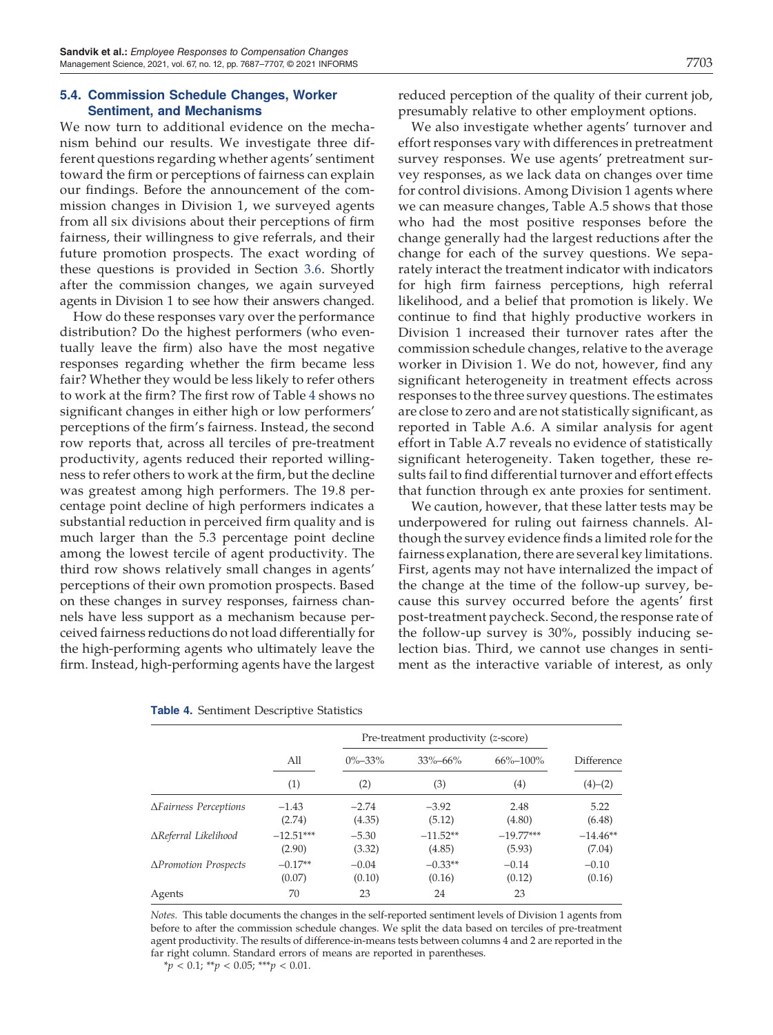## 5.4. Commission Schedule Changes, Worker Sentiment, and Mechanisms

We now turn to additional evidence on the mechanism behind our results. We investigate three different questions regarding whether agents' sentiment toward the firm or perceptions of fairness can explain our findings. Before the announcement of the commission changes in Division 1, we surveyed agents from all six divisions about their perceptions of firm fairness, their willingness to give referrals, and their future promotion prospects. The exact wording of these questions is provided in Section 3.6. Shortly after the commission changes, we again surveyed agents in Division 1 to see how their answers changed.

How do these responses vary over the performance distribution? Do the highest performers (who eventually leave the firm) also have the most negative responses regarding whether the firm became less fair? Whether they would be less likely to refer others to work at the firm? The first row of Table 4 shows no significant changes in either high or low performers' perceptions of the firm's fairness. Instead, the second row reports that, across all terciles of pre-treatment productivity, agents reduced their reported willingness to refer others to work at the firm, but the decline was greatest among high performers. The 19.8 percentage point decline of high performers indicates a substantial reduction in perceived firm quality and is much larger than the 5.3 percentage point decline among the lowest tercile of agent productivity. The third row shows relatively small changes in agents' perceptions of their own promotion prospects. Based on these changes in survey responses, fairness channels have less support as a mechanism because perceived fairness reductions do not load differentially for the high-performing agents who ultimately leave the firm. Instead, high-performing agents have the largest reduced perception of the quality of their current job, presumably relative to other employment options.

We also investigate whether agents' turnover and effort responses vary with differences in pretreatment survey responses. We use agents' pretreatment survey responses, as we lack data on changes over time for control divisions. Among Division 1 agents where we can measure changes, Table A.5 shows that those who had the most positive responses before the change generally had the largest reductions after the change for each of the survey questions. We separately interact the treatment indicator with indicators for high firm fairness perceptions, high referral likelihood, and a belief that promotion is likely. We continue to find that highly productive workers in Division 1 increased their turnover rates after the commission schedule changes, relative to the average worker in Division 1. We do not, however, find any significant heterogeneity in treatment effects across responses to the three survey questions. The estimates are close to zero and are not statistically significant, as reported in Table A.6. A similar analysis for agent effort in Table A.7 reveals no evidence of statistically significant heterogeneity. Taken together, these results fail to find differential turnover and effort effects that function through ex ante proxies for sentiment.

We caution, however, that these latter tests may be underpowered for ruling out fairness channels. Although the survey evidence finds a limited role for the fairness explanation, there are several key limitations. First, agents may not have internalized the impact of the change at the time of the follow-up survey, because this survey occurred before the agents' first post-treatment paycheck. Second, the response rate of the follow-up survey is 30%, possibly inducing selection bias. Third, we cannot use changes in sentiment as the interactive variable of interest, as only

|                              |                       | Pre-treatment productivity (z-score) |                      |                       |                      |
|------------------------------|-----------------------|--------------------------------------|----------------------|-----------------------|----------------------|
|                              | All                   | $0\% - 33\%$                         | $33\% - 66\%$        | $66\% - 100\%$        | Difference           |
|                              | (1)                   | (2)                                  | (3)                  | $\left( 4\right)$     | $(4)-(2)$            |
| <b>AFairness Perceptions</b> | $-1.43$<br>(2.74)     | $-2.74$<br>(4.35)                    | $-3.92$<br>(5.12)    | 2.48<br>(4.80)        | 5.22<br>(6.48)       |
| ∆Referral Likelihood         | $-12.51***$<br>(2.90) | $-5.30$<br>(3.32)                    | $-11.52**$<br>(4.85) | $-19.77***$<br>(5.93) | $-14.46**$<br>(7.04) |
| ΔPromotion Prospects         | $-0.17**$<br>(0.07)   | $-0.04$<br>(0.10)                    | $-0.33**$<br>(0.16)  | $-0.14$<br>(0.12)     | $-0.10$<br>(0.16)    |
| Agents                       | 70                    | 23                                   | 24                   | 23                    |                      |

#### Table 4. Sentiment Descriptive Statistics

*Notes.* This table documents the changes in the self-reported sentiment levels of Division 1 agents from before to after the commission schedule changes. We split the data based on terciles of pre-treatment agent productivity. The results of difference-in-means tests between columns 4 and 2 are reported in the far right column. Standard errors of means are reported in parentheses.

\**p* < 0.1; \*\**p* < 0.05; \*\*\**p* < 0.01.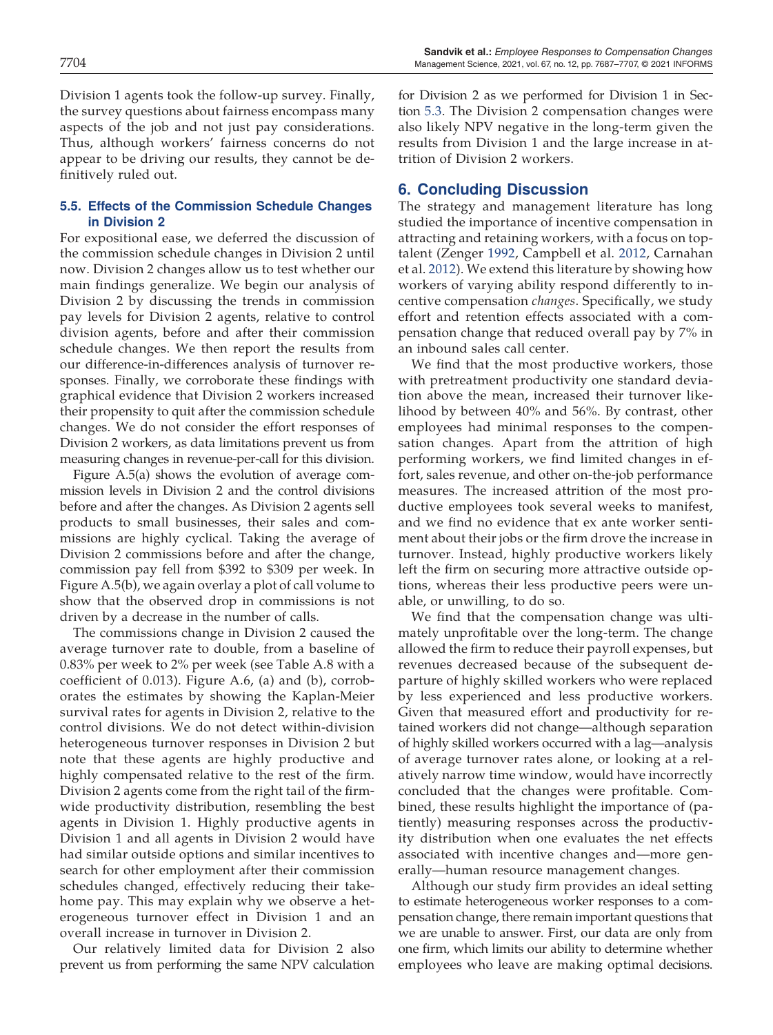Division 1 agents took the follow-up survey. Finally, the survey questions about fairness encompass many aspects of the job and not just pay considerations. Thus, although workers' fairness concerns do not appear to be driving our results, they cannot be definitively ruled out.

# 5.5. Effects of the Commission Schedule Changes in Division 2

For expositional ease, we deferred the discussion of the commission schedule changes in Division 2 until now. Division 2 changes allow us to test whether our main findings generalize. We begin our analysis of Division 2 by discussing the trends in commission pay levels for Division 2 agents, relative to control division agents, before and after their commission schedule changes. We then report the results from our difference-in-differences analysis of turnover responses. Finally, we corroborate these findings with graphical evidence that Division 2 workers increased their propensity to quit after the commission schedule changes. We do not consider the effort responses of Division 2 workers, as data limitations prevent us from measuring changes in revenue-per-call for this division.

Figure A.5(a) shows the evolution of average commission levels in Division 2 and the control divisions before and after the changes. As Division 2 agents sell products to small businesses, their sales and commissions are highly cyclical. Taking the average of Division 2 commissions before and after the change, commission pay fell from \$392 to \$309 per week. In Figure A.5(b), we again overlay a plot of call volume to show that the observed drop in commissions is not driven by a decrease in the number of calls.

The commissions change in Division 2 caused the average turnover rate to double, from a baseline of 0.83% per week to 2% per week (see Table A.8 with a coefficient of 0.013). Figure A.6, (a) and (b), corroborates the estimates by showing the Kaplan-Meier survival rates for agents in Division 2, relative to the control divisions. We do not detect within-division heterogeneous turnover responses in Division 2 but note that these agents are highly productive and highly compensated relative to the rest of the firm. Division 2 agents come from the right tail of the firmwide productivity distribution, resembling the best agents in Division 1. Highly productive agents in Division 1 and all agents in Division 2 would have had similar outside options and similar incentives to search for other employment after their commission schedules changed, effectively reducing their takehome pay. This may explain why we observe a heterogeneous turnover effect in Division 1 and an overall increase in turnover in Division 2.

Our relatively limited data for Division 2 also prevent us from performing the same NPV calculation for Division 2 as we performed for Division 1 in Section 5.3. The Division 2 compensation changes were also likely NPV negative in the long-term given the results from Division 1 and the large increase in attrition of Division 2 workers.

# 6. Concluding Discussion

The strategy and management literature has long studied the importance of incentive compensation in attracting and retaining workers, with a focus on toptalent (Zenger 1992, Campbell et al. 2012, Carnahan et al. 2012). We extend this literature by showing how workers of varying ability respond differently to incentive compensation *changes*. Specifically, we study effort and retention effects associated with a compensation change that reduced overall pay by 7% in an inbound sales call center.

We find that the most productive workers, those with pretreatment productivity one standard deviation above the mean, increased their turnover likelihood by between 40% and 56%. By contrast, other employees had minimal responses to the compensation changes. Apart from the attrition of high performing workers, we find limited changes in effort, sales revenue, and other on-the-job performance measures. The increased attrition of the most productive employees took several weeks to manifest, and we find no evidence that ex ante worker sentiment about their jobs or the firm drove the increase in turnover. Instead, highly productive workers likely left the firm on securing more attractive outside options, whereas their less productive peers were unable, or unwilling, to do so.

We find that the compensation change was ultimately unprofitable over the long-term. The change allowed the firm to reduce their payroll expenses, but revenues decreased because of the subsequent departure of highly skilled workers who were replaced by less experienced and less productive workers. Given that measured effort and productivity for retained workers did not change—although separation of highly skilled workers occurred with a lag—analysis of average turnover rates alone, or looking at a relatively narrow time window, would have incorrectly concluded that the changes were profitable. Combined, these results highlight the importance of (patiently) measuring responses across the productivity distribution when one evaluates the net effects associated with incentive changes and—more generally—human resource management changes.

Although our study firm provides an ideal setting to estimate heterogeneous worker responses to a compensation change, there remain important questions that we are unable to answer. First, our data are only from one firm, which limits our ability to determine whether employees who leave are making optimal decisions.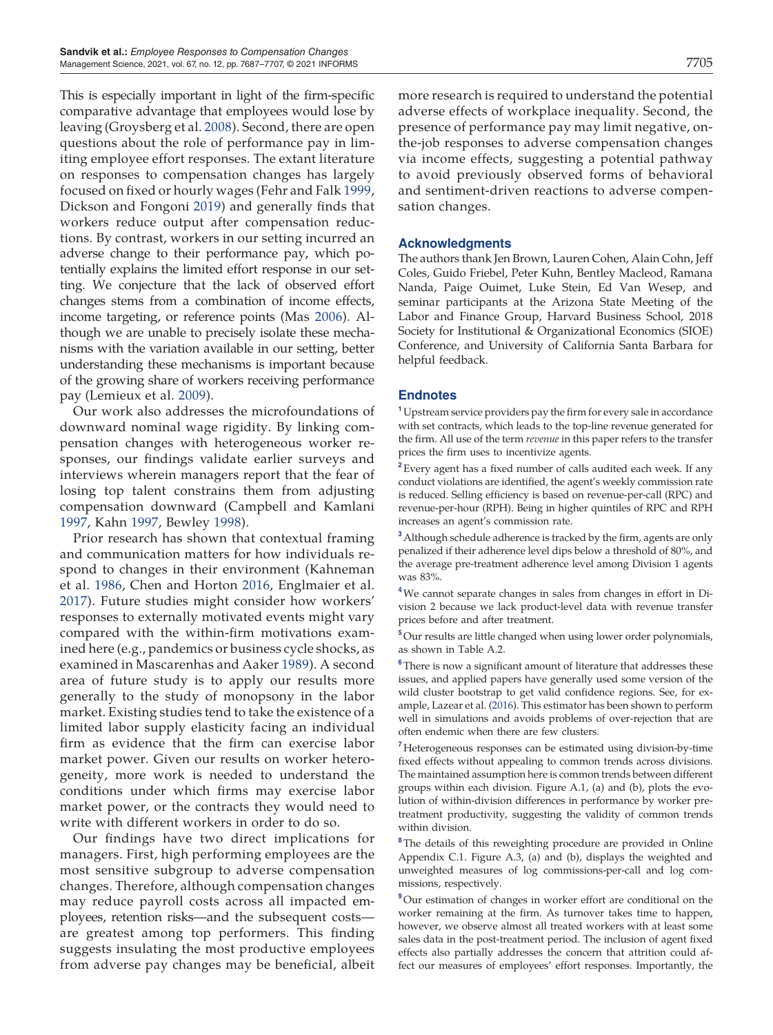This is especially important in light of the firm-specific comparative advantage that employees would lose by leaving (Groysberg et al. 2008). Second, there are open questions about the role of performance pay in limiting employee effort responses. The extant literature on responses to compensation changes has largely focused on fixed or hourly wages (Fehr and Falk 1999, Dickson and Fongoni 2019) and generally finds that workers reduce output after compensation reductions. By contrast, workers in our setting incurred an adverse change to their performance pay, which potentially explains the limited effort response in our setting. We conjecture that the lack of observed effort changes stems from a combination of income effects, income targeting, or reference points (Mas 2006). Although we are unable to precisely isolate these mechanisms with the variation available in our setting, better understanding these mechanisms is important because of the growing share of workers receiving performance pay (Lemieux et al. 2009).

Our work also addresses the microfoundations of downward nominal wage rigidity. By linking compensation changes with heterogeneous worker responses, our findings validate earlier surveys and interviews wherein managers report that the fear of losing top talent constrains them from adjusting compensation downward (Campbell and Kamlani 1997, Kahn 1997, Bewley 1998).

Prior research has shown that contextual framing and communication matters for how individuals respond to changes in their environment (Kahneman et al. 1986, Chen and Horton 2016, Englmaier et al. 2017). Future studies might consider how workers' responses to externally motivated events might vary compared with the within-firm motivations examined here (e.g., pandemics or business cycle shocks, as examined in Mascarenhas and Aaker 1989). A second area of future study is to apply our results more generally to the study of monopsony in the labor market. Existing studies tend to take the existence of a limited labor supply elasticity facing an individual firm as evidence that the firm can exercise labor market power. Given our results on worker heterogeneity, more work is needed to understand the conditions under which firms may exercise labor market power, or the contracts they would need to write with different workers in order to do so.

Our findings have two direct implications for managers. First, high performing employees are the most sensitive subgroup to adverse compensation changes. Therefore, although compensation changes may reduce payroll costs across all impacted employees, retention risks—and the subsequent costs are greatest among top performers. This finding suggests insulating the most productive employees from adverse pay changes may be beneficial, albeit more research is required to understand the potential adverse effects of workplace inequality. Second, the presence of performance pay may limit negative, onthe-job responses to adverse compensation changes via income effects, suggesting a potential pathway to avoid previously observed forms of behavioral and sentiment-driven reactions to adverse compensation changes.

## Acknowledgments

The authors thank Jen Brown, Lauren Cohen, Alain Cohn, Jeff Coles, Guido Friebel, Peter Kuhn, Bentley Macleod, Ramana Nanda, Paige Ouimet, Luke Stein, Ed Van Wesep, and seminar participants at the Arizona State Meeting of the Labor and Finance Group, Harvard Business School, 2018 Society for Institutional & Organizational Economics (SIOE) Conference, and University of California Santa Barbara for helpful feedback.

### **Endnotes**

<sup>1</sup> Upstream service providers pay the firm for every sale in accordance with set contracts, which leads to the top-line revenue generated for the firm. All use of the term *revenue* in this paper refers to the transfer prices the firm uses to incentivize agents.

<sup>2</sup> Every agent has a fixed number of calls audited each week. If any conduct violations are identified, the agent's weekly commission rate is reduced. Selling efficiency is based on revenue-per-call (RPC) and revenue-per-hour (RPH). Being in higher quintiles of RPC and RPH increases an agent's commission rate.

<sup>3</sup> Although schedule adherence is tracked by the firm, agents are only penalized if their adherence level dips below a threshold of 80%, and the average pre-treatment adherence level among Division 1 agents was 83%.

<sup>4</sup>We cannot separate changes in sales from changes in effort in Division 2 because we lack product-level data with revenue transfer prices before and after treatment.

<sup>5</sup>Our results are little changed when using lower order polynomials, as shown in Table A.2.

<sup>6</sup>There is now a significant amount of literature that addresses these issues, and applied papers have generally used some version of the wild cluster bootstrap to get valid confidence regions. See, for example, Lazear et al. (2016). This estimator has been shown to perform well in simulations and avoids problems of over-rejection that are often endemic when there are few clusters.

<sup>7</sup> Heterogeneous responses can be estimated using division-by-time fixed effects without appealing to common trends across divisions. The maintained assumption here is common trends between different groups within each division. Figure A.1, (a) and (b), plots the evolution of within-division differences in performance by worker pretreatment productivity, suggesting the validity of common trends within division.

<sup>8</sup>The details of this reweighting procedure are provided in Online Appendix C.1. Figure A.3, (a) and (b), displays the weighted and unweighted measures of log commissions-per-call and log commissions, respectively.

<sup>9</sup>Our estimation of changes in worker effort are conditional on the worker remaining at the firm. As turnover takes time to happen, however, we observe almost all treated workers with at least some sales data in the post-treatment period. The inclusion of agent fixed effects also partially addresses the concern that attrition could affect our measures of employees' effort responses. Importantly, the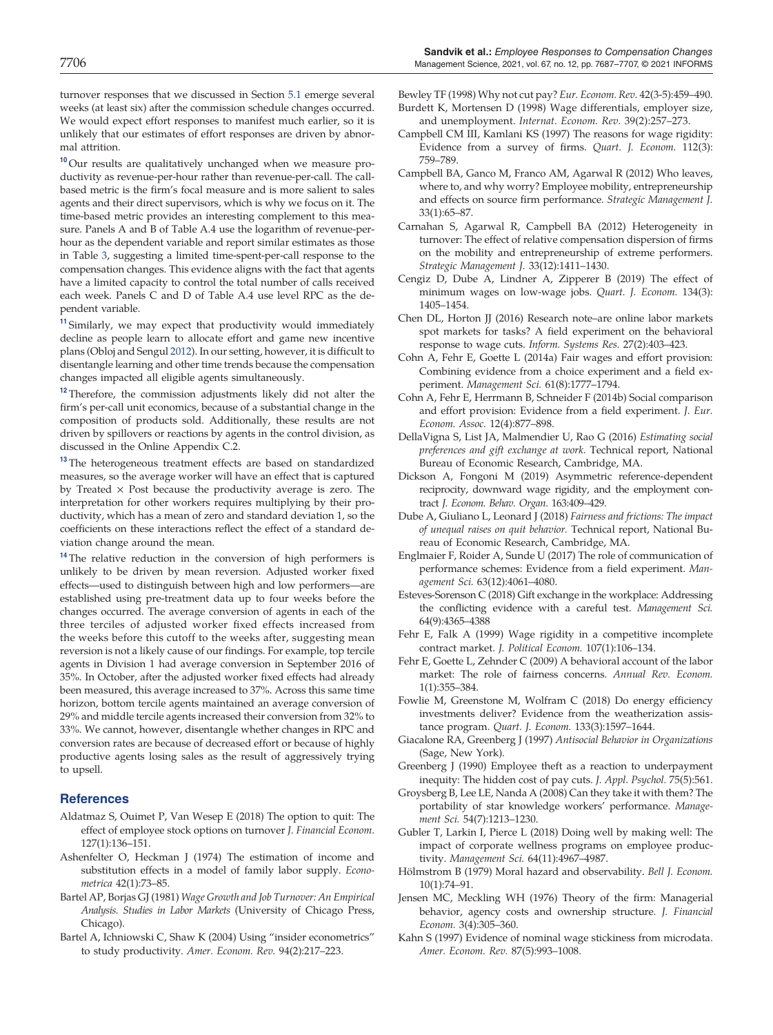turnover responses that we discussed in Section 5.1 emerge several weeks (at least six) after the commission schedule changes occurred. We would expect effort responses to manifest much earlier, so it is unlikely that our estimates of effort responses are driven by abnormal attrition.

<sup>10</sup> Our results are qualitatively unchanged when we measure productivity as revenue-per-hour rather than revenue-per-call. The callbased metric is the firm's focal measure and is more salient to sales agents and their direct supervisors, which is why we focus on it. The time-based metric provides an interesting complement to this measure. Panels A and B of Table A.4 use the logarithm of revenue-perhour as the dependent variable and report similar estimates as those in Table 3, suggesting a limited time-spent-per-call response to the compensation changes. This evidence aligns with the fact that agents have a limited capacity to control the total number of calls received each week. Panels C and D of Table A.4 use level RPC as the dependent variable.

<sup>11</sup> Similarly, we may expect that productivity would immediately decline as people learn to allocate effort and game new incentive plans (Obloj and Sengul 2012). In our setting, however, it is difficult to disentangle learning and other time trends because the compensation changes impacted all eligible agents simultaneously.

<sup>12</sup> Therefore, the commission adjustments likely did not alter the firm's per-call unit economics, because of a substantial change in the composition of products sold. Additionally, these results are not driven by spillovers or reactions by agents in the control division, as discussed in the Online Appendix C.2.

<sup>13</sup> The heterogeneous treatment effects are based on standardized measures, so the average worker will have an effect that is captured by Treated  $\times$  Post because the productivity average is zero. The interpretation for other workers requires multiplying by their productivity, which has a mean of zero and standard deviation 1, so the coefficients on these interactions reflect the effect of a standard deviation change around the mean.

<sup>14</sup> The relative reduction in the conversion of high performers is unlikely to be driven by mean reversion. Adjusted worker fixed effects—used to distinguish between high and low performers—are established using pre-treatment data up to four weeks before the changes occurred. The average conversion of agents in each of the three terciles of adjusted worker fixed effects increased from the weeks before this cutoff to the weeks after, suggesting mean reversion is not a likely cause of our findings. For example, top tercile agents in Division 1 had average conversion in September 2016 of 35%. In October, after the adjusted worker fixed effects had already been measured, this average increased to 37%. Across this same time horizon, bottom tercile agents maintained an average conversion of 29% and middle tercile agents increased their conversion from 32% to 33%. We cannot, however, disentangle whether changes in RPC and conversion rates are because of decreased effort or because of highly productive agents losing sales as the result of aggressively trying to upsell.

### **References**

- Aldatmaz S, Ouimet P, Van Wesep E (2018) The option to quit: The effect of employee stock options on turnover *J. Financial Econom*. 127(1):136–151.
- Ashenfelter O, Heckman J (1974) The estimation of income and substitution effects in a model of family labor supply. *Econometrica* 42(1):73–85.
- Bartel AP, Borjas GJ (1981) *Wage Growth and Job Turnover: An Empirical Analysis. Studies in Labor Markets* (University of Chicago Press, Chicago).
- Bartel A, Ichniowski C, Shaw K (2004) Using "insider econometrics" to study productivity. *Amer. Econom. Rev.* 94(2):217–223.

Bewley TF (1998) Why not cut pay? *Eur. Econom. Rev.* 42(3-5):459–490. Burdett K, Mortensen D (1998) Wage differentials, employer size,

and unemployment. *Internat. Econom. Rev.* 39(2):257–273. Campbell CM III, Kamlani KS (1997) The reasons for wage rigidity: Evidence from a survey of firms. *Quart. J. Econom.* 112(3):

759–789.

- Campbell BA, Ganco M, Franco AM, Agarwal R (2012) Who leaves, where to, and why worry? Employee mobility, entrepreneurship and effects on source firm performance. *Strategic Management J.* 33(1):65–87.
- Carnahan S, Agarwal R, Campbell BA (2012) Heterogeneity in turnover: The effect of relative compensation dispersion of firms on the mobility and entrepreneurship of extreme performers. *Strategic Management J.* 33(12):1411–1430.
- Cengiz D, Dube A, Lindner A, Zipperer B (2019) The effect of minimum wages on low-wage jobs. *Quart. J. Econom*. 134(3): 1405–1454.
- Chen DL, Horton JJ (2016) Research note–are online labor markets spot markets for tasks? A field experiment on the behavioral response to wage cuts. *Inform. Systems Res.* 27(2):403–423.
- Cohn A, Fehr E, Goette L (2014a) Fair wages and effort provision: Combining evidence from a choice experiment and a field experiment. *Management Sci.* 61(8):1777–1794.
- Cohn A, Fehr E, Herrmann B, Schneider F (2014b) Social comparison and effort provision: Evidence from a field experiment. *J. Eur. Econom. Assoc.* 12(4):877–898.
- DellaVigna S, List JA, Malmendier U, Rao G (2016) *Estimating social preferences and gift exchange at work.* Technical report, National Bureau of Economic Research, Cambridge, MA.
- Dickson A, Fongoni M (2019) Asymmetric reference-dependent reciprocity, downward wage rigidity, and the employment contract *J. Econom. Behav. Organ*. 163:409–429.
- Dube A, Giuliano L, Leonard J (2018) *Fairness and frictions: The impact of unequal raises on quit behavior.* Technical report, National Bureau of Economic Research, Cambridge, MA.
- Englmaier F, Roider A, Sunde U (2017) The role of communication of performance schemes: Evidence from a field experiment. *Management Sci.* 63(12):4061–4080.
- Esteves-Sorenson C (2018) Gift exchange in the workplace: Addressing the conflicting evidence with a careful test. *Management Sci.* 64(9):4365–4388
- Fehr E, Falk A (1999) Wage rigidity in a competitive incomplete contract market. *J. Political Econom.* 107(1):106–134.
- Fehr E, Goette L, Zehnder C (2009) A behavioral account of the labor market: The role of fairness concerns. *Annual Rev. Econom.* 1(1):355–384.
- Fowlie M, Greenstone M, Wolfram C (2018) Do energy efficiency investments deliver? Evidence from the weatherization assistance program. *Quart. J. Econom.* 133(3):1597–1644.
- Giacalone RA, Greenberg J (1997) *Antisocial Behavior in Organizations* (Sage, New York).
- Greenberg J (1990) Employee theft as a reaction to underpayment inequity: The hidden cost of pay cuts. *J. Appl. Psychol.* 75(5):561.
- Groysberg B, Lee LE, Nanda A (2008) Can they take it with them? The portability of star knowledge workers' performance. *Management Sci.* 54(7):1213–1230.
- Gubler T, Larkin I, Pierce L (2018) Doing well by making well: The impact of corporate wellness programs on employee productivity. *Management Sci.* 64(11):4967–4987.
- Hölmstrom B (1979) Moral hazard and observability. Bell J. Econom. 10(1):74–91.
- Jensen MC, Meckling WH (1976) Theory of the firm: Managerial behavior, agency costs and ownership structure. *J. Financial Econom.* 3(4):305–360.
- Kahn S (1997) Evidence of nominal wage stickiness from microdata. *Amer. Econom. Rev.* 87(5):993–1008.